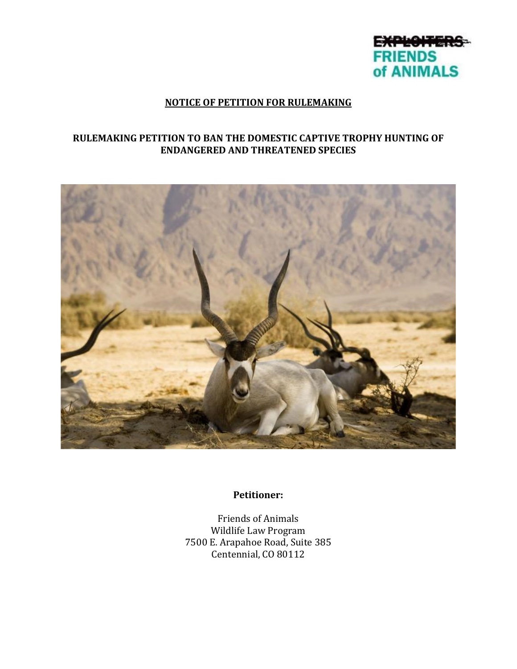

#### **NOTICE OF PETITION FOR RULEMAKING**

#### **RULEMAKING PETITION TO BAN THE DOMESTIC CAPTIVE TROPHY HUNTING OF ENDANGERED AND THREATENED SPECIES**



**Petitioner:**

Friends of Animals Wildlife Law Program 7500 E. Arapahoe Road, Suite 385 Centennial, CO 80112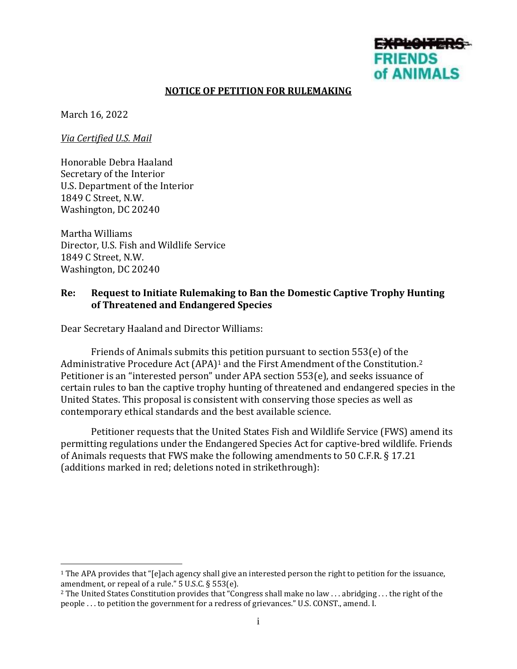# **FRIENDS** of ANIMALS

#### **NOTICE OF PETITION FOR RULEMAKING**

March 16, 2022

*Via Certified U.S. Mail*

Honorable Debra Haaland Secretary of the Interior U.S. Department of the Interior 1849 C Street, N.W. Washington, DC 20240

Martha Williams Director, U.S. Fish and Wildlife Service 1849 C Street, N.W. Washington, DC 20240

#### **Re: Request to Initiate Rulemaking to Ban the Domestic Captive Trophy Hunting of Threatened and Endangered Species**

Dear Secretary Haaland and Director Williams:

Friends of Animals submits this petition pursuant to section 553(e) of the Administrative Procedure Act (APA)<sup>1</sup> and the First Amendment of the Constitution.<sup>2</sup> Petitioner is an "interested person" under APA section 553(e), and seeks issuance of certain rules to ban the captive trophy hunting of threatened and endangered species in the United States. This proposal is consistent with conserving those species as well as contemporary ethical standards and the best available science.

Petitioner requests that the United States Fish and Wildlife Service (FWS) amend its permitting regulations under the Endangered Species Act for captive-bred wildlife. Friends of Animals requests that FWS make the following amendments to 50 C.F.R. § 17.21 (additions marked in red; deletions noted in strikethrough):

<sup>1</sup> The APA provides that "[e]ach agency shall give an interested person the right to petition for the issuance, amendment, or repeal of a rule." 5 U.S.C. § 553(e).

<sup>&</sup>lt;sup>2</sup> The United States Constitution provides that "Congress shall make no law . . . abridging . . . the right of the people . . . to petition the government for a redress of grievances." U.S. CONST., amend. I.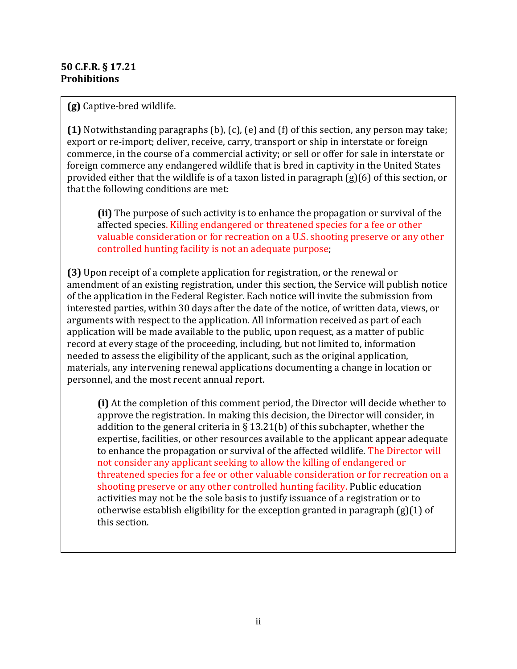#### **50 C.F.R. § 17.21 Prohibitions**

**(g)** Captive-bred wildlife.

**(1)** Notwithstanding paragraphs (b), (c), (e) and (f) of this section, any person may take; export or re-import; deliver, receive, carry, transport or ship in interstate or foreign commerce, in the course of a commercial activity; or sell or offer for sale in interstate or foreign commerce any endangered wildlife that is bred in captivity in the United States provided either that the wildlife is of a taxon listed in paragraph (g)(6) of this section, or that the following conditions are met:

**(ii)** The purpose of such activity is to enhance the propagation or survival of the affected species. Killing endangered or threatened species for a fee or other valuable consideration or for recreation on a U.S. shooting preserve or any other controlled hunting facility is not an adequate purpose;

**(3)** Upon receipt of a complete application for registration, or the renewal or amendment of an existing registration, under this section, the Service will publish notice of the application in the Federal Register. Each notice will invite the submission from interested parties, within 30 days after the date of the notice, of written data, views, or arguments with respect to the application. All information received as part of each application will be made available to the public, upon request, as a matter of public record at every stage of the proceeding, including, but not limited to, information needed to assess the eligibility of the applicant, such as the original application, materials, any intervening renewal applications documenting a change in location or personnel, and the most recent annual report.

**(i)** At the completion of this comment period, the Director will decide whether to approve the registration. In making this decision, the Director will consider, in addition to the general criteria in  $\S 13.21(b)$  of this subchapter, whether the expertise, facilities, or other resources available to the applicant appear adequate to enhance the propagation or survival of the affected wildlife. The Director will not consider any applicant seeking to allow the killing of endangered or threatened species for a fee or other valuable consideration or for recreation on a shooting preserve or any other controlled hunting facility. Public education activities may not be the sole basis to justify issuance of a registration or to otherwise establish eligibility for the exception granted in paragraph (g)(1) of this section.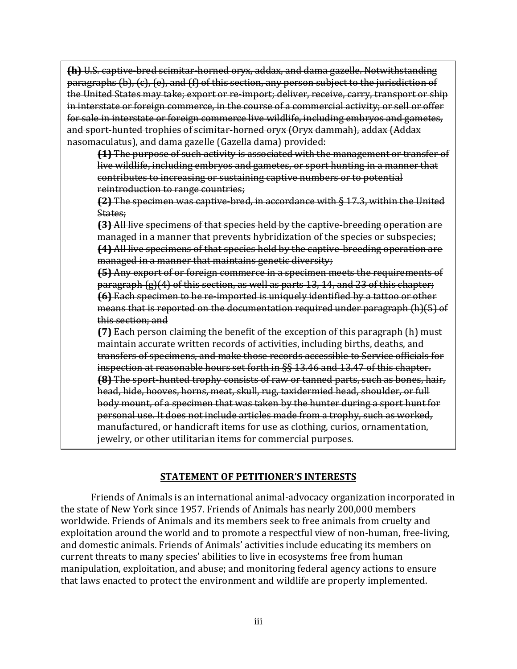**(h)** U.S. captive-bred scimitar-horned oryx, addax, and dama gazelle. Notwithstanding paragraphs (b), (c), (e), and (f) of this section, any person subject to the jurisdiction of the United States may take; export or re-import; deliver, receive, carry, transport or ship in interstate or foreign commerce, in the course of a commercial activity; or sell or offer for sale in interstate or foreign commerce live wildlife, including embryos and gametes, and sport-hunted trophies of scimitar-horned oryx (Oryx dammah), addax (Addax nasomaculatus), and dama gazelle (Gazella dama) provided:

**(1)** The purpose of such activity is associated with the management or transfer of live wildlife, including embryos and gametes, or sport hunting in a manner that contributes to increasing or sustaining captive numbers or to potential reintroduction to range countries;

**(2)** The specimen was captive-bred, in accordance with § 17.3, within the United States;

**(3)** All live specimens of that species held by the captive-breeding operation are managed in a manner that prevents hybridization of the species or subspecies; **(4)** All live specimens of that species held by the captive-breeding operation are managed in a manner that maintains genetic diversity;

**(5)** Any export of or foreign commerce in a specimen meets the requirements of paragraph (g)(4) of this section, as well as parts 13, 14, and 23 of this chapter; **(6)** Each specimen to be re-imported is uniquely identified by a tattoo or other means that is reported on the documentation required under paragraph (h)(5) of this section; and

**(7)** Each person claiming the benefit of the exception of this paragraph (h) must maintain accurate written records of activities, including births, deaths, and transfers of specimens, and make those records accessible to Service officials for inspection at reasonable hours set forth in §§ 13.46 and 13.47 of this chapter. **(8)** The sport-hunted trophy consists of raw or tanned parts, such as bones, hair, head, hide, hooves, horns, meat, skull, rug, taxidermied head, shoulder, or full body mount, of a specimen that was taken by the hunter during a sport hunt for personal use. It does not include articles made from a trophy, such as worked, manufactured, or handicraft items for use as clothing, curios, ornamentation, jewelry, or other utilitarian items for commercial purposes.

#### **STATEMENT OF PETITIONER'S INTERESTS**

Friends of Animals is an international animal-advocacy organization incorporated in the state of New York since 1957. Friends of Animals has nearly 200,000 members worldwide. Friends of Animals and its members seek to free animals from cruelty and exploitation around the world and to promote a respectful view of non-human, free-living, and domestic animals. Friends of Animals' activities include educating its members on current threats to many species' abilities to live in ecosystems free from human manipulation, exploitation, and abuse; and monitoring federal agency actions to ensure that laws enacted to protect the environment and wildlife are properly implemented.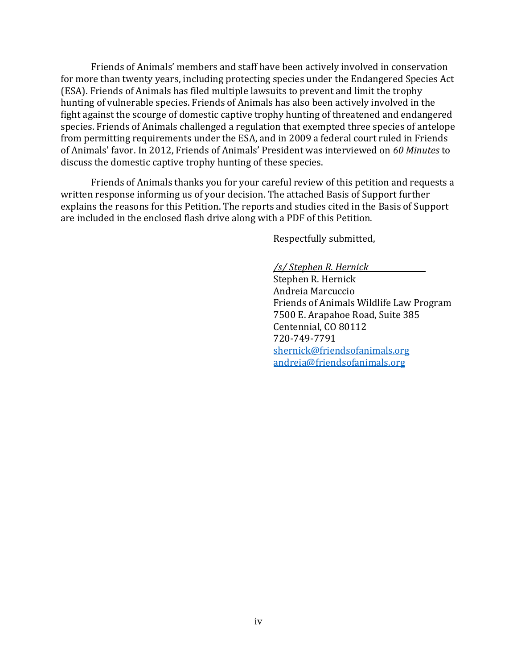Friends of Animals' members and staff have been actively involved in conservation for more than twenty years, including protecting species under the Endangered Species Act (ESA). Friends of Animals has filed multiple lawsuits to prevent and limit the trophy hunting of vulnerable species. Friends of Animals has also been actively involved in the fight against the scourge of domestic captive trophy hunting of threatened and endangered species. Friends of Animals challenged a regulation that exempted three species of antelope from permitting requirements under the ESA, and in 2009 a federal court ruled in Friends of Animals' favor. In 2012, Friends of Animals' President was interviewed on *60 Minutes* to discuss the domestic captive trophy hunting of these species.

Friends of Animals thanks you for your careful review of this petition and requests a written response informing us of your decision. The attached Basis of Support further explains the reasons for this Petition. The reports and studies cited in the Basis of Support are included in the enclosed flash drive along with a PDF of this Petition.

Respectfully submitted,

*/s/ Stephen R. Hernick* Stephen R. Hernick Andreia Marcuccio Friends of Animals Wildlife Law Program 7500 E. Arapahoe Road, Suite 385 Centennial, CO 80112 720-749-7791 [shernick@friendsofanimals.org](mailto:shernick@friendsofanimals.org) [andreia@friendsofanimals.org](mailto:andreia@friendsofanimals.org)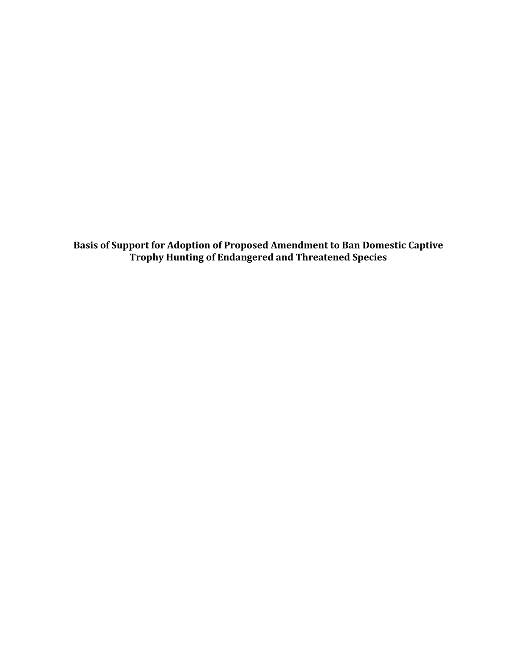**Basis of Support for Adoption of Proposed Amendment to Ban Domestic Captive Trophy Hunting of Endangered and Threatened Species**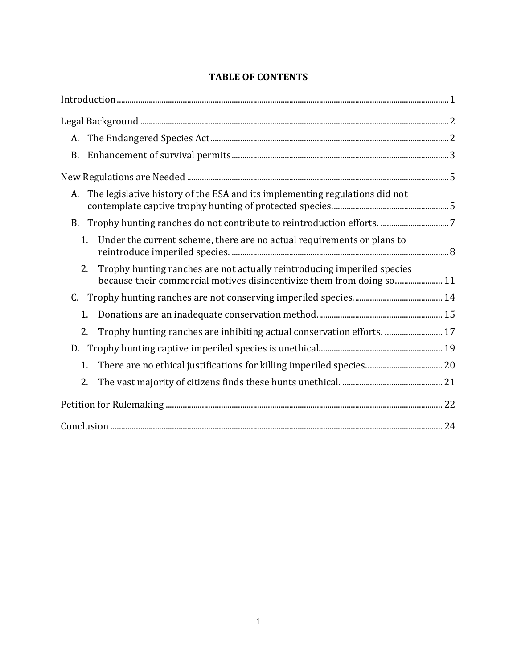| A.                                                                                                                                                     |  |
|--------------------------------------------------------------------------------------------------------------------------------------------------------|--|
|                                                                                                                                                        |  |
|                                                                                                                                                        |  |
| The legislative history of the ESA and its implementing regulations did not<br>А.                                                                      |  |
| <b>B.</b>                                                                                                                                              |  |
| 1 <sub>1</sub><br>Under the current scheme, there are no actual requirements or plans to                                                               |  |
| Trophy hunting ranches are not actually reintroducing imperiled species<br>2.<br>because their commercial motives disincentivize them from doing so 11 |  |
|                                                                                                                                                        |  |
| 1.                                                                                                                                                     |  |
| Trophy hunting ranches are inhibiting actual conservation efforts.  17<br>2.                                                                           |  |
| D.                                                                                                                                                     |  |
| 1.                                                                                                                                                     |  |
| 2.                                                                                                                                                     |  |
|                                                                                                                                                        |  |
|                                                                                                                                                        |  |

# **TABLE OF CONTENTS**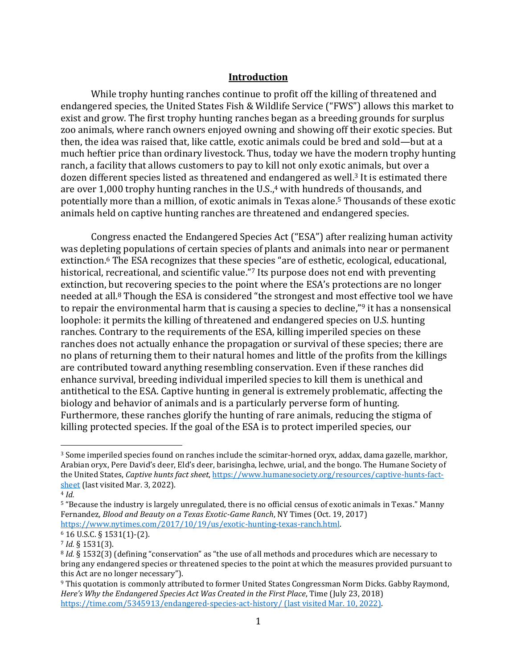#### **Introduction**

<span id="page-7-0"></span>While trophy hunting ranches continue to profit off the killing of threatened and endangered species, the United States Fish & Wildlife Service ("FWS") allows this market to exist and grow. The first trophy hunting ranches began as a breeding grounds for surplus zoo animals, where ranch owners enjoyed owning and showing off their exotic species. But then, the idea was raised that, like cattle, exotic animals could be bred and sold—but at a much heftier price than ordinary livestock. Thus, today we have the modern trophy hunting ranch, a facility that allows customers to pay to kill not only exotic animals, but over a dozen different species listed as threatened and endangered as well.<sup>3</sup> It is estimated there are over 1,000 trophy hunting ranches in the U.S., <sup>4</sup> with hundreds of thousands, and potentially more than a million, of exotic animals in Texas alone. <sup>5</sup> Thousands of these exotic animals held on captive hunting ranches are threatened and endangered species.

Congress enacted the Endangered Species Act ("ESA") after realizing human activity was depleting populations of certain species of plants and animals into near or permanent extinction.<sup>6</sup> The ESA recognizes that these species "are of esthetic, ecological, educational, historical, recreational, and scientific value.<sup>"7</sup> Its purpose does not end with preventing extinction, but recovering species to the point where the ESA's protections are no longer needed at all.<sup>8</sup> Though the ESA is considered "the strongest and most effective tool we have to repair the environmental harm that is causing a species to decline,"<sup>9</sup> it has a nonsensical loophole: it permits the killing of threatened and endangered species on U.S. hunting ranches. Contrary to the requirements of the ESA, killing imperiled species on these ranches does not actually enhance the propagation or survival of these species; there are no plans of returning them to their natural homes and little of the profits from the killings are contributed toward anything resembling conservation. Even if these ranches did enhance survival, breeding individual imperiled species to kill them is unethical and antithetical to the ESA. Captive hunting in general is extremely problematic, affecting the biology and behavior of animals and is a particularly perverse form of hunting. Furthermore, these ranches glorify the hunting of rare animals, reducing the stigma of killing protected species. If the goal of the ESA is to protect imperiled species, our

<sup>3</sup> Some imperiled species found on ranches include the scimitar-horned oryx, addax, dama gazelle, markhor, Arabian oryx, Pere David's deer, Eld's deer, barisingha, lechwe, urial, and the bongo. The Humane Society of the United States, *Captive hunts fact sheet*, [https://www.humanesociety.org/resources/captive-hunts-fact](https://www.humanesociety.org/resources/captive-hunts-fact-sheet)[sheet](https://www.humanesociety.org/resources/captive-hunts-fact-sheet) (last visited Mar. 3, 2022).

<sup>4</sup> *Id.* 

<sup>5</sup> "Because the industry is largely unregulated, there is no official census of exotic animals in Texas." Manny Fernandez*, Blood and Beauty on a Texas Exotic-Game Ranch*, NY Times (Oct. 19, 2017) [https://www.nytimes.com/2017/10/19/us/exotic-hunting-texas-ranch.html.](https://www.nytimes.com/2017/10/19/us/exotic-hunting-texas-ranch.html)

<sup>6</sup> 16 U.S.C. § 1531(1)-(2).

<sup>7</sup> *Id.* § 1531(3).

<sup>8</sup> *Id.* § 1532(3) (defining "conservation" as "the use of all methods and procedures which are necessary to bring any endangered species or threatened species to the point at which the measures provided pursuant to this Act are no longer necessary").

<sup>9</sup> This quotation is commonly attributed to former United States Congressman Norm Dicks. Gabby Raymond, *Here's Why the Endangered Species Act Was Created in the First Place*, Time (July 23, 2018) <https://time.com/5345913/endangered-species-act-history/> (last visited Mar. 10, 2022).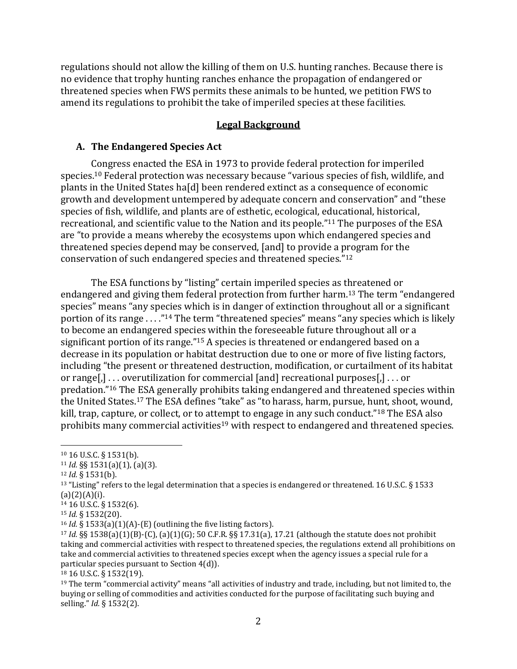regulations should not allow the killing of them on U.S. hunting ranches. Because there is no evidence that trophy hunting ranches enhance the propagation of endangered or threatened species when FWS permits these animals to be hunted, we petition FWS to amend its regulations to prohibit the take of imperiled species at these facilities.

#### **Legal Background**

#### <span id="page-8-1"></span><span id="page-8-0"></span>**A. The Endangered Species Act**

Congress enacted the ESA in 1973 to provide federal protection for imperiled species.<sup>10</sup> Federal protection was necessary because "various species of fish, wildlife, and plants in the United States ha[d] been rendered extinct as a consequence of economic growth and development untempered by adequate concern and conservation" and "these species of fish, wildlife, and plants are of esthetic, ecological, educational, historical, recreational, and scientific value to the Nation and its people." <sup>11</sup> The purposes of the ESA are "to provide a means whereby the ecosystems upon which endangered species and threatened species depend may be conserved, [and] to provide a program for the conservation of such endangered species and threatened species."<sup>12</sup>

The ESA functions by "listing" certain imperiled species as threatened or endangered and giving them federal protection from further harm.<sup>13</sup> The term "endangered species" means "any species which is in danger of extinction throughout all or a significant portion of its range . . . ." <sup>14</sup> The term "threatened species" means "any species which is likely to become an endangered species within the foreseeable future throughout all or a significant portion of its range."<sup>15</sup> A species is threatened or endangered based on a decrease in its population or habitat destruction due to one or more of five listing factors, including "the present or threatened destruction, modification, or curtailment of its habitat or range[,] . . . overutilization for commercial [and] recreational purposes[,] . . . or predation."<sup>16</sup> The ESA generally prohibits taking endangered and threatened species within the United States.<sup>17</sup> The ESA defines "take" as "to harass, harm, pursue, hunt, shoot, wound, kill, trap, capture, or collect, or to attempt to engage in any such conduct."<sup>18</sup> The ESA also prohibits many commercial activities<sup>19</sup> with respect to endangered and threatened species.

<sup>14</sup> 16 U.S.C. § 1532(6).

<sup>10</sup> 16 U.S.C. § 1531(b).

<sup>11</sup> *Id.* §§ 1531(a)(1), (a)(3).

<sup>12</sup> *Id.* § 1531(b).

<sup>&</sup>lt;sup>13</sup> "Listing" refers to the legal determination that a species is endangered or threatened. 16 U.S.C. § 1533  $(a)(2)(A)(i)$ .

<sup>15</sup> *Id.* § 1532(20).

<sup>16</sup> *Id.* § 1533(a)(1)(A)-(E) (outlining the five listing factors).

<sup>17</sup> *Id.* §§ 1538(a)(1)(B)-(C), (a)(1)(G); 50 C.F.R. §§ 17.31(a), 17.21 (although the statute does not prohibit taking and commercial activities with respect to threatened species, the regulations extend all prohibitions on take and commercial activities to threatened species except when the agency issues a special rule for a particular species pursuant to Section 4(d)).

<sup>18</sup> 16 U.S.C. § 1532(19).

 $19$  The term "commercial activity" means "all activities of industry and trade, including, but not limited to, the buying or selling of commodities and activities conducted for the purpose of facilitating such buying and selling." *Id.* § 1532(2).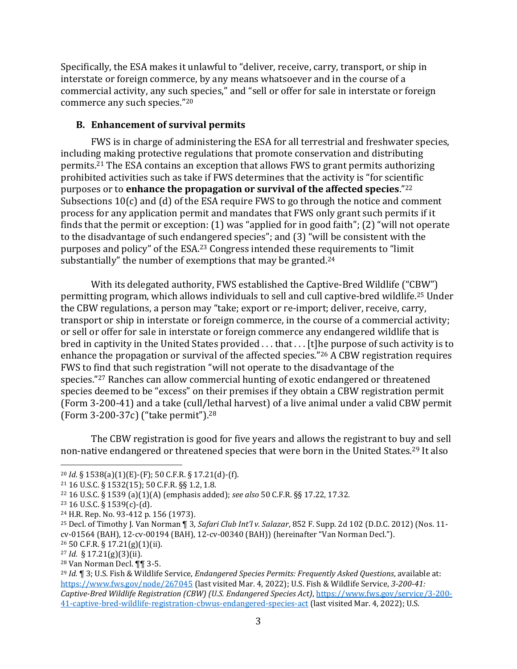Specifically, the ESA makes it unlawful to "deliver, receive, carry, transport, or ship in interstate or foreign commerce, by any means whatsoever and in the course of a commercial activity, any such species," and "sell or offer for sale in interstate or foreign commerce any such species."<sup>20</sup>

## <span id="page-9-0"></span>**B. Enhancement of survival permits**

FWS is in charge of administering the ESA for all terrestrial and freshwater species, including making protective regulations that promote conservation and distributing permits.<sup>21</sup> The ESA contains an exception that allows FWS to grant permits authorizing prohibited activities such as take if FWS determines that the activity is "for scientific purposes or to **enhance the propagation or survival of the affected species**." 22 Subsections 10(c) and (d) of the ESA require FWS to go through the notice and comment process for any application permit and mandates that FWS only grant such permits if it finds that the permit or exception: (1) was "applied for in good faith"; (2) "will not operate to the disadvantage of such endangered species"; and (3) "will be consistent with the purposes and policy" of the ESA. <sup>23</sup> Congress intended these requirements to "limit substantially" the number of exemptions that may be granted.<sup>24</sup>

With its delegated authority, FWS established the Captive-Bred Wildlife ("CBW") permitting program, which allows individuals to sell and cull captive-bred wildlife.<sup>25</sup> Under the CBW regulations, a person may "take; export or re-import; deliver, receive, carry, transport or ship in interstate or foreign commerce, in the course of a commercial activity; or sell or offer for sale in interstate or foreign commerce any endangered wildlife that is bred in captivity in the United States provided ... that ... [t]he purpose of such activity is to enhance the propagation or survival of the affected species."<sup>26</sup> A CBW registration requires FWS to find that such registration "will not operate to the disadvantage of the species." <sup>27</sup> Ranches can allow commercial hunting of exotic endangered or threatened species deemed to be "excess" on their premises if they obtain a CBW registration permit (Form 3-200-41) and a take (cull/lethal harvest) of a live animal under a valid CBW permit (Form 3-200-37c) ("take permit"). 28

The CBW registration is good for five years and allows the registrant to buy and sell non-native endangered or threatened species that were born in the United States.<sup>29</sup> It also

<sup>20</sup> *Id.* § 1538(a)(1)(E)-(F); 50 C.F.R. § 17.21(d)-(f).

<sup>21</sup> 16 U.S.C. § 1532(15); 50 C.F.R. §§ 1.2, 1.8.

<sup>22</sup> 16 U.S.C. § 1539 (a)(1)(A) (emphasis added); *see also* 50 C.F.R. §§ 17.22, 17.32.

<sup>23</sup> 16 U.S.C. § 1539(c)-(d).

<sup>24</sup> H.R. Rep. No. 93-412 p. 156 (1973).

<sup>25</sup> Decl. of Timothy J. Van Norman ¶ 3, *Safari Club Int'l v. Salazar*, 852 F. Supp. 2d 102 (D.D.C. 2012) (Nos. 11 cv-01564 (BAH), 12-cv-00194 (BAH), 12-cv-00340 (BAH)) (hereinafter "Van Norman Decl."). <sup>26</sup> 50 C.F.R. § 17.21(g)(1)(ii).

<sup>27</sup> *Id.* § 17.21(g)(3)(ii).

<sup>28</sup> Van Norman Decl. ¶¶ 3-5.

<sup>29</sup> *Id.* ¶ 3; U.S. Fish & Wildlife Service, *Endangered Species Permits: Frequently Asked Questions*, available at: <https://www.fws.gov/node/267045> (last visited Mar. 4, 2022); U.S. Fish & Wildlife Service, *3-200-41: Captive-Bred Wildlife Registration (CBW) (U.S. Endangered Species Act)*[, https://www.fws.gov/service/3-200-](https://www.fws.gov/service/3-200-41-captive-bred-wildlife-registration-cbwus-endangered-species-act) [41-captive-bred-wildlife-registration-cbwus-endangered-species-act](https://www.fws.gov/service/3-200-41-captive-bred-wildlife-registration-cbwus-endangered-species-act) (last visited Mar. 4, 2022); U.S.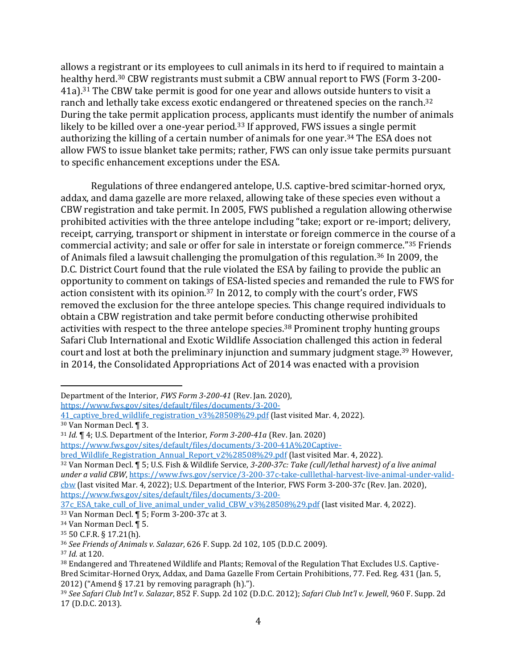allows a registrant or its employees to cull animals in its herd to if required to maintain a healthy herd.<sup>30</sup> CBW registrants must submit a CBW annual report to FWS (Form 3-200- 41a).<sup>31</sup> The CBW take permit is good for one year and allows outside hunters to visit a ranch and lethally take excess exotic endangered or threatened species on the ranch.<sup>32</sup> During the take permit application process, applicants must identify the number of animals likely to be killed over a one-year period.<sup>33</sup> If approved, FWS issues a single permit authorizing the killing of a certain number of animals for one year.<sup>34</sup> The ESA does not allow FWS to issue blanket take permits; rather, FWS can only issue take permits pursuant to specific enhancement exceptions under the ESA.

Regulations of three endangered antelope, U.S. captive-bred scimitar-horned oryx, addax, and dama gazelle are more relaxed, allowing take of these species even without a CBW registration and take permit. In 2005, FWS published a regulation allowing otherwise prohibited activities with the three antelope including "take; export or re-import; delivery, receipt, carrying, transport or shipment in interstate or foreign commerce in the course of a commercial activity; and sale or offer for sale in interstate or foreign commerce."<sup>35</sup> Friends of Animals filed a lawsuit challenging the promulgation of this regulation. <sup>36</sup> In 2009, the D.C. District Court found that the rule violated the ESA by failing to provide the public an opportunity to comment on takings of ESA-listed species and remanded the rule to FWS for action consistent with its opinion.<sup>37</sup> In 2012, to comply with the court's order, FWS removed the exclusion for the three antelope species. This change required individuals to obtain a CBW registration and take permit before conducting otherwise prohibited activities with respect to the three antelope species. <sup>38</sup> Prominent trophy hunting groups Safari Club International and Exotic Wildlife Association challenged this action in federal court and lost at both the preliminary injunction and summary judgment stage.<sup>39</sup> However, in 2014, the Consolidated Appropriations Act of 2014 was enacted with a provision

[https://www.fws.gov/sites/default/files/documents/3-200-](https://www.fws.gov/sites/default/files/documents/3-200-41_captive_bred_wildlife_registration_v3%28508%29.pdf)

[bred\\_Wildlife\\_Registration\\_Annual\\_Report\\_v2%28508%29.pdf](https://www.fws.gov/sites/default/files/documents/3-200-41A%20Captive-bred_Wildlife_Registration_Annual_Report_v2%28508%29.pdf) (last visited Mar. 4, 2022).

<sup>32</sup> Van Norman Decl. ¶ 5; U.S. Fish & Wildlife Service, *3-200-37c: Take (cull/lethal harvest) of a live animal under a valid CBW*[, https://www.fws.gov/service/3-200-37c-take-culllethal-harvest-live-animal-under-valid](https://www.fws.gov/service/3-200-37c-take-culllethal-harvest-live-animal-under-valid-cbw)[cbw](https://www.fws.gov/service/3-200-37c-take-culllethal-harvest-live-animal-under-valid-cbw) (last visited Mar. 4, 2022); U.S. Department of the Interior, FWS Form 3-200-37c (Rev. Jan. 2020), [https://www.fws.gov/sites/default/files/documents/3-200-](https://www.fws.gov/sites/default/files/documents/3-200-37c_ESA_take_cull_of_live_animal_under_valid_CBW_v3%28508%29.pdf)

[37c\\_ESA\\_take\\_cull\\_of\\_live\\_animal\\_under\\_valid\\_CBW\\_v3%28508%29.pdf](https://www.fws.gov/sites/default/files/documents/3-200-37c_ESA_take_cull_of_live_animal_under_valid_CBW_v3%28508%29.pdf) (last visited Mar. 4, 2022). <sup>33</sup> Van Norman Decl. ¶ 5; Form 3-200-37c at 3.

Department of the Interior, *FWS Form 3-200-41* (Rev. Jan. 2020),

[<sup>41</sup>\\_captive\\_bred\\_wildlife\\_registration\\_v3%28508%29.pdf](https://www.fws.gov/sites/default/files/documents/3-200-41_captive_bred_wildlife_registration_v3%28508%29.pdf) (last visited Mar. 4, 2022). <sup>30</sup> Van Norman Decl. ¶ 3.

<sup>31</sup> *Id.* ¶ 4; U.S. Department of the Interior, *Form 3-200-41a* (Rev. Jan. 2020) [https://www.fws.gov/sites/default/files/documents/3-200-41A%20Captive-](https://www.fws.gov/sites/default/files/documents/3-200-41A%20Captive-bred_Wildlife_Registration_Annual_Report_v2%28508%29.pdf)

<sup>34</sup> Van Norman Decl. ¶ 5.

<sup>35</sup> 50 C.F.R. § 17.21(h).

<sup>36</sup> *See Friends of Animals v. Salazar*, 626 F. Supp. 2d 102, 105 (D.D.C. 2009).

<sup>37</sup> *Id.* at 120.

<sup>38</sup> Endangered and Threatened Wildlife and Plants; Removal of the Regulation That Excludes U.S. Captive-Bred Scimitar-Horned Oryx, Addax, and Dama Gazelle From Certain Prohibitions, 77. Fed. Reg. 431 (Jan. 5, 2012) ("Amend § 17.21 by removing paragraph  $(h)$ .").

<sup>39</sup> *See Safari Club Int'l v. Salazar*, 852 F. Supp. 2d 102 (D.D.C. 2012); *Safari Club Int'l v. Jewell*, 960 F. Supp. 2d 17 (D.D.C. 2013).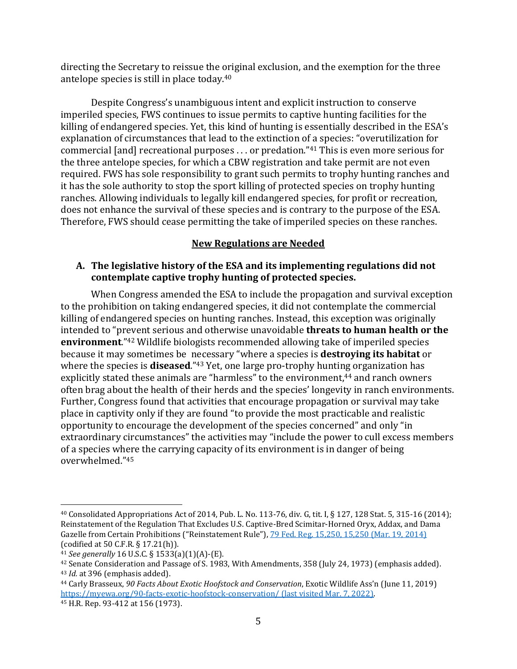directing the Secretary to reissue the original exclusion, and the exemption for the three antelope species is still in place today. 40

Despite Congress's unambiguous intent and explicit instruction to conserve imperiled species, FWS continues to issue permits to captive hunting facilities for the killing of endangered species. Yet, this kind of hunting is essentially described in the ESA's explanation of circumstances that lead to the extinction of a species: "overutilization for commercial [and] recreational purposes . . . or predation."<sup>41</sup> This is even more serious for the three antelope species, for which a CBW registration and take permit are not even required. FWS has sole responsibility to grant such permits to trophy hunting ranches and it has the sole authority to stop the sport killing of protected species on trophy hunting ranches. Allowing individuals to legally kill endangered species, for profit or recreation, does not enhance the survival of these species and is contrary to the purpose of the ESA. Therefore, FWS should cease permitting the take of imperiled species on these ranches.

#### **New Regulations are Needed**

#### <span id="page-11-1"></span><span id="page-11-0"></span>**A. The legislative history of the ESA and its implementing regulations did not contemplate captive trophy hunting of protected species.**

When Congress amended the ESA to include the propagation and survival exception to the prohibition on taking endangered species, it did not contemplate the commercial killing of endangered species on hunting ranches. Instead, this exception was originally intended to "prevent serious and otherwise unavoidable **threats to human health or the environment**." <sup>42</sup> Wildlife biologists recommended allowing take of imperiled species because it may sometimes be necessary "where a species is **destroying its habitat** or where the species is **diseased**."<sup>43</sup> Yet, one large pro-trophy hunting organization has explicitly stated these animals are "harmless" to the environment,<sup>44</sup> and ranch owners often brag about the health of their herds and the species' longevity in ranch environments. Further, Congress found that activities that encourage propagation or survival may take place in captivity only if they are found "to provide the most practicable and realistic opportunity to encourage the development of the species concerned" and only "in extraordinary circumstances" the activities may "include the power to cull excess members of a species where the carrying capacity of its environment is in danger of being overwhelmed."<sup>45</sup>

<sup>40</sup> Consolidated Appropriations Act of 2014, Pub. L. No. 113-76, div. G, tit. I, § 127, 128 Stat. 5, 315-16 (2014); Reinstatement of the Regulation That Excludes U.S. Captive-Bred Scimitar-Horned Oryx, Addax, and Dama Gazelle from Certain Prohibitions ("Reinstatement Rule"), [79 Fed. Reg. 15,250, 15,250 \(Mar. 19, 2014\)](https://advance.lexis.com/document/?pdmfid=1000516&crid=c1c13c62-4622-414b-bdff-93a7fac4b400&pddocfullpath=%2Fshared%2Fdocument%2Fcases%2Furn%3AcontentItem%3A5JXK-MSP1-F04K-Y03T-00000-00&pdcontentcomponentid=6397&pdshepid=urn%3AcontentItem%3A5JXS-6HX1-DXC8-70WB-00000-00&pdteaserkey=sr0&pditab=allpods&ecomp=xzgpk&earg=sr0&prid=06fce1f0-c741-418a-96b4-a8b09d02f829) (codified at 50 C.F.R. § 17.21(h)).

<sup>41</sup> *See generally* 16 U.S.C. § 1533(a)(1)(A)-(E).

<sup>42</sup> Senate Consideration and Passage of S. 1983, With Amendments, 358 (July 24, 1973) (emphasis added). <sup>43</sup> *Id.* at 396 (emphasis added).

<sup>44</sup> Carly Brasseux, *90 Facts About Exotic Hoofstock and Conservation*, Exotic Wildlife Ass'n (June 11, 2019) <https://myewa.org/90-facts-exotic-hoofstock-conservation/> (last visited Mar. 7, 2022). <sup>45</sup> H.R. Rep. 93-412 at 156 (1973).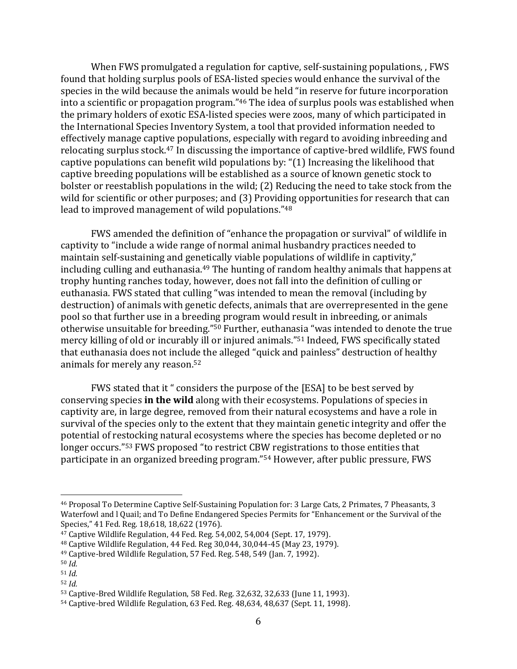When FWS promulgated a regulation for captive, self-sustaining populations, , FWS found that holding surplus pools of ESA-listed species would enhance the survival of the species in the wild because the animals would be held "in reserve for future incorporation into a scientific or propagation program." <sup>46</sup> The idea of surplus pools was established when the primary holders of exotic ESA-listed species were zoos, many of which participated in the International Species Inventory System, a tool that provided information needed to effectively manage captive populations, especially with regard to avoiding inbreeding and relocating surplus stock.<sup>47</sup> In discussing the importance of captive-bred wildlife, FWS found captive populations can benefit wild populations by: "(1) Increasing the likelihood that captive breeding populations will be established as a source of known genetic stock to bolster or reestablish populations in the wild; (2) Reducing the need to take stock from the wild for scientific or other purposes; and (3) Providing opportunities for research that can lead to improved management of wild populations."<sup>48</sup>

FWS amended the definition of "enhance the propagation or survival" of wildlife in captivity to "include a wide range of normal animal husbandry practices needed to maintain self-sustaining and genetically viable populations of wildlife in captivity," including culling and euthanasia. <sup>49</sup> The hunting of random healthy animals that happens at trophy hunting ranches today, however, does not fall into the definition of culling or euthanasia. FWS stated that culling "was intended to mean the removal (including by destruction) of animals with genetic defects, animals that are overrepresented in the gene pool so that further use in a breeding program would result in inbreeding, or animals otherwise unsuitable for breeding." <sup>50</sup> Further, euthanasia "was intended to denote the true mercy killing of old or incurably ill or injured animals." <sup>51</sup> Indeed, FWS specifically stated that euthanasia does not include the alleged "quick and painless" destruction of healthy animals for merely any reason.<sup>52</sup>

FWS stated that it " considers the purpose of the [ESA] to be best served by conserving species **in the wild** along with their ecosystems. Populations of species in captivity are, in large degree, removed from their natural ecosystems and have a role in survival of the species only to the extent that they maintain genetic integrity and offer the potential of restocking natural ecosystems where the species has become depleted or no longer occurs."<sup>53</sup> FWS proposed "to restrict CBW registrations to those entities that participate in an organized breeding program."<sup>54</sup> However, after public pressure, FWS

<sup>46</sup> Proposal To Determine Captive Self-Sustaining Population for: 3 Large Cats, 2 Primates, 7 Pheasants, 3 Waterfowl and l Quail; and To Define Endangered Species Permits for "Enhancement or the Survival of the Species," 41 Fed. Reg. 18,618, 18,622 (1976).

<sup>47</sup> Captive Wildlife Regulation, 44 Fed. Reg. 54,002, 54,004 (Sept. 17, 1979).

<sup>48</sup> Captive Wildlife Regulation, 44 Fed. Reg 30,044, 30,044-45 (May 23, 1979).

<sup>49</sup> Captive-bred Wildlife Regulation, 57 Fed. Reg. 548, 549 (Jan. 7, 1992).

<sup>50</sup> *Id.*

<sup>51</sup> *Id.*

<sup>52</sup> *Id.*

<sup>53</sup> Captive-Bred Wildlife Regulation, 58 Fed. Reg. 32,632, 32,633 (June 11, 1993).

<sup>54</sup> Captive-bred Wildlife Regulation, 63 Fed. Reg. 48,634, 48,637 (Sept. 11, 1998).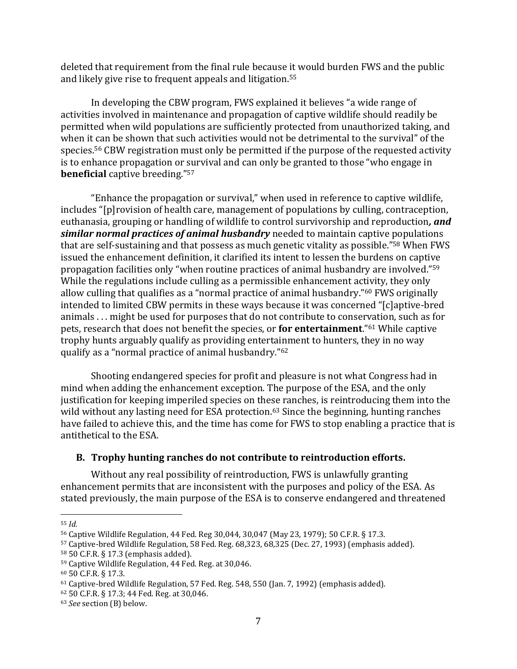deleted that requirement from the final rule because it would burden FWS and the public and likely give rise to frequent appeals and litigation.<sup>55</sup>

In developing the CBW program, FWS explained it believes "a wide range of activities involved in maintenance and propagation of captive wildlife should readily be permitted when wild populations are sufficiently protected from unauthorized taking, and when it can be shown that such activities would not be detrimental to the survival" of the species.<sup>56</sup> CBW registration must only be permitted if the purpose of the requested activity is to enhance propagation or survival and can only be granted to those "who engage in **beneficial** captive breeding."<sup>57</sup>

"Enhance the propagation or survival," when used in reference to captive wildlife, includes "[p]rovision of health care, management of populations by culling, contraception, euthanasia, grouping or handling of wildlife to control survivorship and reproduction*, and similar normal practices of animal husbandry* needed to maintain captive populations that are self-sustaining and that possess as much genetic vitality as possible." <sup>58</sup> When FWS issued the enhancement definition, it clarified its intent to lessen the burdens on captive propagation facilities only "when routine practices of animal husbandry are involved." 59 While the regulations include culling as a permissible enhancement activity, they only allow culling that qualifies as a "normal practice of animal husbandry."<sup>60</sup> FWS originally intended to limited CBW permits in these ways because it was concerned "[c]aptive-bred animals . . . might be used for purposes that do not contribute to conservation, such as for pets, research that does not benefit the species, or **for entertainment**."<sup>61</sup> While captive trophy hunts arguably qualify as providing entertainment to hunters, they in no way qualify as a "normal practice of animal husbandry."<sup>62</sup>

Shooting endangered species for profit and pleasure is not what Congress had in mind when adding the enhancement exception. The purpose of the ESA, and the only justification for keeping imperiled species on these ranches, is reintroducing them into the wild without any lasting need for ESA protection.<sup>63</sup> Since the beginning, hunting ranches have failed to achieve this, and the time has come for FWS to stop enabling a practice that is antithetical to the ESA.

#### <span id="page-13-0"></span>**B. Trophy hunting ranches do not contribute to reintroduction efforts.**

Without any real possibility of reintroduction, FWS is unlawfully granting enhancement permits that are inconsistent with the purposes and policy of the ESA. As stated previously, the main purpose of the ESA is to conserve endangered and threatened

<sup>55</sup> *Id.*

<sup>56</sup> Captive Wildlife Regulation, 44 Fed. Reg 30,044, 30,047 (May 23, 1979); 50 C.F.R. § 17.3.

<sup>57</sup> Captive-bred Wildlife Regulation, 58 Fed. Reg. 68,323, 68,325 (Dec. 27, 1993) (emphasis added).

<sup>58</sup> 50 C.F.R. § 17.3 (emphasis added).

<sup>59</sup> Captive Wildlife Regulation, 44 Fed. Reg. at 30,046.

<sup>60</sup> 50 C.F.R. § 17.3.

<sup>61</sup> Captive-bred Wildlife Regulation, 57 Fed. Reg. 548, 550 (Jan. 7, 1992) (emphasis added).

<sup>62</sup> 50 C.F.R. § 17.3; 44 Fed. Reg. at 30,046.

<sup>63</sup> *See* section (B) below.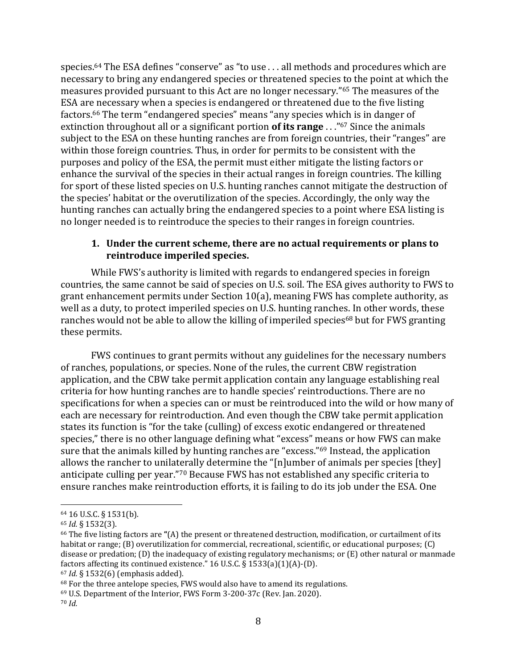species.<sup>64</sup> The ESA defines "conserve" as "to use . . . all methods and procedures which are necessary to bring any endangered species or threatened species to the point at which the measures provided pursuant to this Act are no longer necessary."<sup>65</sup> The measures of the ESA are necessary when a species is endangered or threatened due to the five listing factors.<sup>66</sup> The term "endangered species" means "any species which is in danger of extinction throughout all or a significant portion **of its range** . . ."<sup>67</sup> Since the animals subject to the ESA on these hunting ranches are from foreign countries, their "ranges" are within those foreign countries. Thus, in order for permits to be consistent with the purposes and policy of the ESA, the permit must either mitigate the listing factors or enhance the survival of the species in their actual ranges in foreign countries. The killing for sport of these listed species on U.S. hunting ranches cannot mitigate the destruction of the species' habitat or the overutilization of the species. Accordingly, the only way the hunting ranches can actually bring the endangered species to a point where ESA listing is no longer needed is to reintroduce the species to their ranges in foreign countries.

#### <span id="page-14-0"></span>**1. Under the current scheme, there are no actual requirements or plans to reintroduce imperiled species.**

While FWS's authority is limited with regards to endangered species in foreign countries, the same cannot be said of species on U.S. soil. The ESA gives authority to FWS to grant enhancement permits under Section 10(a), meaning FWS has complete authority, as well as a duty, to protect imperiled species on U.S. hunting ranches. In other words, these ranches would not be able to allow the killing of imperiled species<sup>68</sup> but for FWS granting these permits.

FWS continues to grant permits without any guidelines for the necessary numbers of ranches, populations, or species. None of the rules, the current CBW registration application, and the CBW take permit application contain any language establishing real criteria for how hunting ranches are to handle species' reintroductions. There are no specifications for when a species can or must be reintroduced into the wild or how many of each are necessary for reintroduction. And even though the CBW take permit application states its function is "for the take (culling) of excess exotic endangered or threatened species," there is no other language defining what "excess" means or how FWS can make sure that the animals killed by hunting ranches are "excess." <sup>69</sup> Instead, the application allows the rancher to unilaterally determine the "[n]umber of animals per species [they] anticipate culling per year."<sup>70</sup> Because FWS has not established any specific criteria to ensure ranches make reintroduction efforts, it is failing to do its job under the ESA. One

<sup>64</sup> 16 U.S.C. § 1531(b).

<sup>65</sup> *Id.* § 1532(3).

<sup>66</sup> The five listing factors are **"**(A) the present or threatened destruction, modification, or curtailment of its habitat or range; (B) overutilization for commercial, recreational, scientific, or educational purposes; (C) disease or predation; (D) the inadequacy of existing regulatory mechanisms; or (E) other natural or manmade factors affecting its continued existence." 16 U.S.C. § 1533(a)(1)(A)-(D).

<sup>67</sup> *Id.* § 1532(6) (emphasis added).

<sup>68</sup> For the three antelope species, FWS would also have to amend its regulations.

<sup>69</sup> U.S. Department of the Interior, FWS Form 3-200-37c (Rev. Jan. 2020).

<sup>70</sup> *Id.*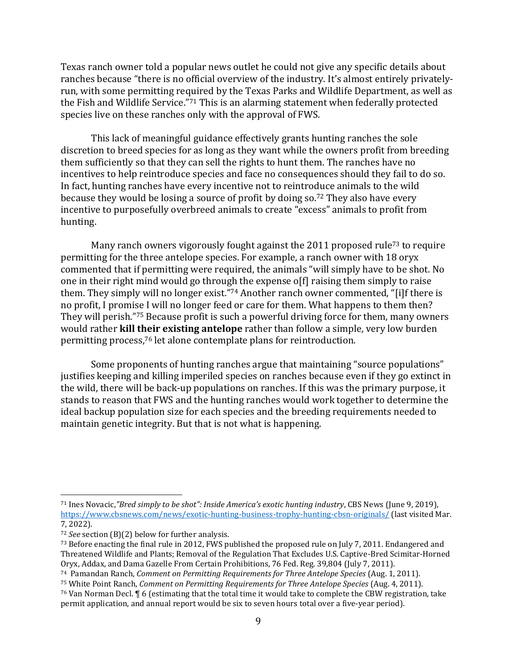Texas ranch owner told a popular news outlet he could not give any specific details about ranches because "there is no official overview of the industry. It's almost entirely privatelyrun, with some permitting required by the Texas Parks and Wildlife Department, as well as the Fish and Wildlife Service." <sup>71</sup> This is an alarming statement when federally protected species live on these ranches only with the approval of FWS.

This lack of meaningful guidance effectively grants hunting ranches the sole discretion to breed species for as long as they want while the owners profit from breeding them sufficiently so that they can sell the rights to hunt them. The ranches have no incentives to help reintroduce species and face no consequences should they fail to do so. In fact, hunting ranches have every incentive not to reintroduce animals to the wild because they would be losing a source of profit by doing so. <sup>72</sup> They also have every incentive to purposefully overbreed animals to create "excess" animals to profit from hunting.

Many ranch owners vigorously fought against the 2011 proposed rule<sup>73</sup> to require permitting for the three antelope species. For example, a ranch owner with 18 oryx commented that if permitting were required, the animals "will simply have to be shot. No one in their right mind would go through the expense o[f] raising them simply to raise them. They simply will no longer exist."<sup>74</sup> Another ranch owner commented, "[i]f there is no profit, I promise I will no longer feed or care for them. What happens to them then? They will perish."<sup>75</sup> Because profit is such a powerful driving force for them, many owners would rather **kill their existing antelope** rather than follow a simple, very low burden permitting process, <sup>76</sup> let alone contemplate plans for reintroduction.

Some proponents of hunting ranches argue that maintaining "source populations" justifies keeping and killing imperiled species on ranches because even if they go extinct in the wild, there will be back-up populations on ranches. If this was the primary purpose, it stands to reason that FWS and the hunting ranches would work together to determine the ideal backup population size for each species and the breeding requirements needed to maintain genetic integrity. But that is not what is happening.

<sup>71</sup> Ines Novacic,*"Bred simply to be shot": Inside America's exotic hunting industry*, CBS News (June 9, 2019), <https://www.cbsnews.com/news/exotic-hunting-business-trophy-hunting-cbsn-originals/> (last visited Mar. 7, 2022).

<sup>72</sup> *See* section (B)(2) below for further analysis.

<sup>73</sup> Before enacting the final rule in 2012, FWS published the proposed rule on July 7, 2011. Endangered and Threatened Wildlife and Plants; Removal of the Regulation That Excludes U.S. Captive-Bred Scimitar-Horned Oryx, Addax, and Dama Gazelle From Certain Prohibitions, 76 Fed. Reg. 39,804 (July 7, 2011).

<sup>74</sup> Pamandan Ranch, *Comment on Permitting Requirements for Three Antelope Species* (Aug. 1, 2011).

<sup>75</sup> White Point Ranch, *Comment on Permitting Requirements for Three Antelope Species* (Aug. 4, 2011).

<sup>76</sup> Van Norman Decl. ¶ 6 (estimating that the total time it would take to complete the CBW registration, take permit application, and annual report would be six to seven hours total over a five-year period).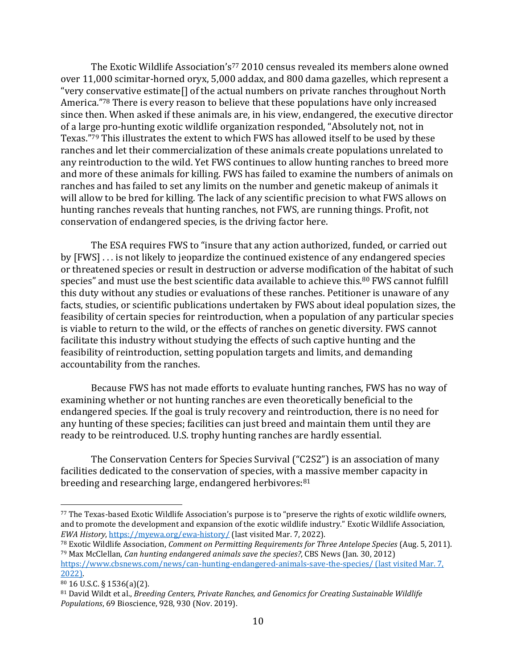The Exotic Wildlife Association's<sup>77</sup> 2010 census revealed its members alone owned over 11,000 scimitar-horned oryx, 5,000 addax, and 800 dama gazelles, which represent a "very conservative estimate[] of the actual numbers on private ranches throughout North America."<sup>78</sup> There is every reason to believe that these populations have only increased since then. When asked if these animals are, in his view, endangered, the executive director of a large pro-hunting exotic wildlife organization responded, "Absolutely not, not in Texas."<sup>79</sup> This illustrates the extent to which FWS has allowed itself to be used by these ranches and let their commercialization of these animals create populations unrelated to any reintroduction to the wild. Yet FWS continues to allow hunting ranches to breed more and more of these animals for killing. FWS has failed to examine the numbers of animals on ranches and has failed to set any limits on the number and genetic makeup of animals it will allow to be bred for killing. The lack of any scientific precision to what FWS allows on hunting ranches reveals that hunting ranches, not FWS, are running things. Profit, not conservation of endangered species, is the driving factor here.

The ESA requires FWS to "insure that any action authorized, funded, or carried out by [FWS] . . . is not likely to jeopardize the continued existence of any endangered species or threatened species or result in destruction or adverse modification of the habitat of such species" and must use the best scientific data available to achieve this.<sup>80</sup> FWS cannot fulfill this duty without any studies or evaluations of these ranches. Petitioner is unaware of any facts, studies, or scientific publications undertaken by FWS about ideal population sizes, the feasibility of certain species for reintroduction, when a population of any particular species is viable to return to the wild, or the effects of ranches on genetic diversity. FWS cannot facilitate this industry without studying the effects of such captive hunting and the feasibility of reintroduction, setting population targets and limits, and demanding accountability from the ranches.

Because FWS has not made efforts to evaluate hunting ranches, FWS has no way of examining whether or not hunting ranches are even theoretically beneficial to the endangered species. If the goal is truly recovery and reintroduction, there is no need for any hunting of these species; facilities can just breed and maintain them until they are ready to be reintroduced. U.S. trophy hunting ranches are hardly essential.

The Conservation Centers for Species Survival ("C2S2") is an association of many facilities dedicated to the conservation of species, with a massive member capacity in breeding and researching large, endangered herbivores:<sup>81</sup>

<sup>77</sup> The Texas-based Exotic Wildlife Association's purpose is to "preserve the rights of exotic wildlife owners, and to promote the development and expansion of the exotic wildlife industry." Exotic Wildlife Association, *EWA History*[, https://myewa.org/ewa-history/](https://myewa.org/ewa-history/) (last visited Mar. 7, 2022).

<sup>78</sup> Exotic Wildlife Association, *Comment on Permitting Requirements for Three Antelope Species* (Aug. 5, 2011). <sup>79</sup> Max McClellan, *Can hunting endangered animals save the species?*, CBS News (Jan. 30, 2012) <https://www.cbsnews.com/news/can-hunting-endangered-animals-save-the-species/> (last visited Mar. 7, 2022).

<sup>80</sup> 16 U.S.C. § 1536(a)(2).

<sup>81</sup> David Wildt et al., *Breeding Centers, Private Ranches, and Genomics for Creating Sustainable Wildlife Populations*, 69 Bioscience, 928, 930 (Nov. 2019).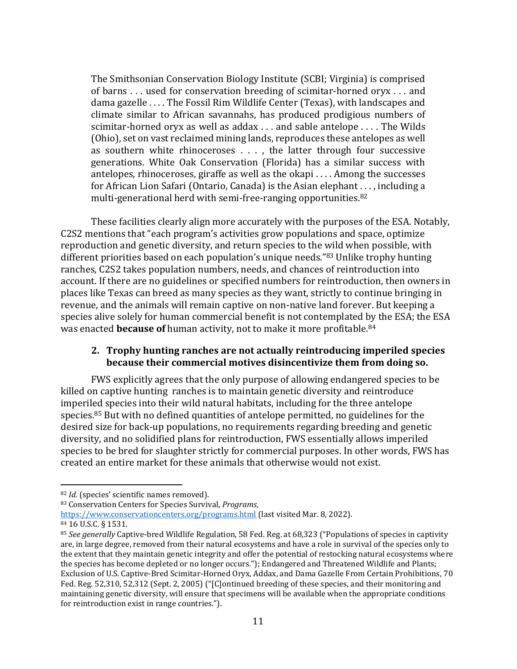The Smithsonian Conservation Biology Institute (SCBI; Virginia) is comprised of barns . . . used for conservation breeding of scimitar-horned oryx . . . and dama gazelle . . . . The Fossil Rim Wildlife Center (Texas), with landscapes and climate similar to African savannahs, has produced prodigious numbers of scimitar-horned oryx as well as addax . . . and sable antelope . . . . The Wilds (Ohio), set on vast reclaimed mining lands, reproduces these antelopes as well as southern white rhinoceroses . . . , the latter through four successive generations. White Oak Conservation (Florida) has a similar success with antelopes, rhinoceroses, giraffe as well as the okapi . . . . Among the successes for African Lion Safari (Ontario, Canada) is the Asian elephant . . . , including a multi-generational herd with semi-free-ranging opportunities.<sup>82</sup>

These facilities clearly align more accurately with the purposes of the ESA. Notably, C2S2 mentions that "each program's activities grow populations and space, optimize reproduction and genetic diversity, and return species to the wild when possible, with different priorities based on each population's unique needs." <sup>83</sup> Unlike trophy hunting ranches, C2S2 takes population numbers, needs, and chances of reintroduction into account. If there are no guidelines or specified numbers for reintroduction, then owners in places like Texas can breed as many species as they want, strictly to continue bringing in revenue, and the animals will remain captive on non-native land forever. But keeping a species alive solely for human commercial benefit is not contemplated by the ESA; the ESA was enacted **because of** human activity, not to make it more profitable.<sup>84</sup>

#### <span id="page-17-0"></span>**2. Trophy hunting ranches are not actually reintroducing imperiled species because their commercial motives disincentivize them from doing so.**

FWS explicitly agrees that the only purpose of allowing endangered species to be killed on captive hunting ranches is to maintain genetic diversity and reintroduce imperiled species into their wild natural habitats, including for the three antelope species. <sup>85</sup> But with no defined quantities of antelope permitted, no guidelines for the desired size for back-up populations, no requirements regarding breeding and genetic diversity, and no solidified plans for reintroduction, FWS essentially allows imperiled species to be bred for slaughter strictly for commercial purposes. In other words, FWS has created an entire market for these animals that otherwise would not exist.

<sup>82</sup> *Id.* (species' scientific names removed).

<sup>83</sup> Conservation Centers for Species Survival, *Programs*,

<https://www.conservationcenters.org/programs.html> (last visited Mar. 8, 2022).

<sup>84</sup> 16 U.S.C. § 1531.

<sup>85</sup> *See generally* Captive-bred Wildlife Regulation, 58 Fed. Reg. at 68,323 ("Populations of species in captivity are, in large degree, removed from their natural ecosystems and have a role in survival of the species only to the extent that they maintain genetic integrity and offer the potential of restocking natural ecosystems where the species has become depleted or no longer occurs."); Endangered and Threatened Wildlife and Plants; Exclusion of U.S. Captive-Bred Scimitar-Horned Oryx, Addax, and Dama Gazelle From Certain Prohibitions, 70 Fed. Reg. 52,310, 52,312 (Sept. 2, 2005) ("[C]ontinued breeding of these species, and their monitoring and maintaining genetic diversity, will ensure that specimens will be available when the appropriate conditions for reintroduction exist in range countries.").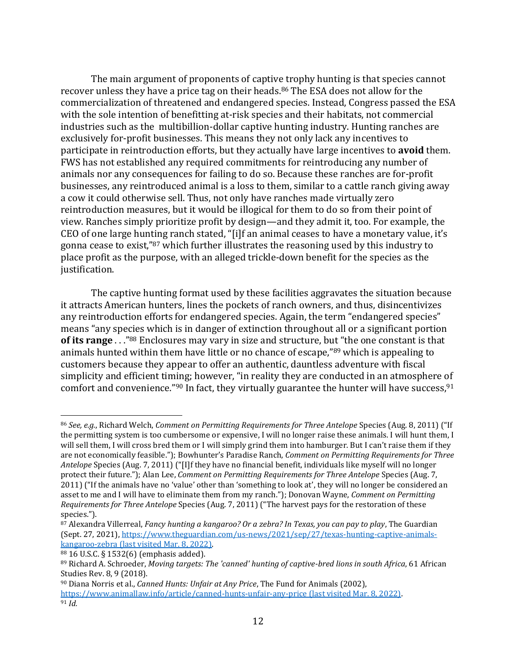The main argument of proponents of captive trophy hunting is that species cannot recover unless they have a price tag on their heads. <sup>86</sup> The ESA does not allow for the commercialization of threatened and endangered species. Instead, Congress passed the ESA with the sole intention of benefitting at-risk species and their habitats, not commercial industries such as the multibillion-dollar captive hunting industry. Hunting ranches are exclusively for-profit businesses. This means they not only lack any incentives to participate in reintroduction efforts, but they actually have large incentives to **avoid** them. FWS has not established any required commitments for reintroducing any number of animals nor any consequences for failing to do so. Because these ranches are for-profit businesses, any reintroduced animal is a loss to them, similar to a cattle ranch giving away a cow it could otherwise sell. Thus, not only have ranches made virtually zero reintroduction measures, but it would be illogical for them to do so from their point of view. Ranches simply prioritize profit by design—and they admit it, too. For example, the CEO of one large hunting ranch stated, "[i]f an animal ceases to have a monetary value, it's gonna cease to exist,"<sup>87</sup> which further illustrates the reasoning used by this industry to place profit as the purpose, with an alleged trickle-down benefit for the species as the justification.

The captive hunting format used by these facilities aggravates the situation because it attracts American hunters, lines the pockets of ranch owners, and thus, disincentivizes any reintroduction efforts for endangered species. Again, the term "endangered species" means "any species which is in danger of extinction throughout all or a significant portion **of its range** . . ."<sup>88</sup> Enclosures may vary in size and structure, but "the one constant is that animals hunted within them have little or no chance of escape,"<sup>89</sup> which is appealing to customers because they appear to offer an authentic, dauntless adventure with fiscal simplicity and efficient timing; however, "in reality they are conducted in an atmosphere of comfort and convenience."<sup>90</sup> In fact, they virtually guarantee the hunter will have success,<sup>91</sup>

<sup>86</sup> *See, e.g.*, Richard Welch, *Comment on Permitting Requirements for Three Antelope* Species (Aug. 8, 2011) ("If the permitting system is too cumbersome or expensive, I will no longer raise these animals. I will hunt them, I will sell them, I will cross bred them or I will simply grind them into hamburger. But I can't raise them if they are not economically feasible."); Bowhunter's Paradise Ranch, *Comment on Permitting Requirements for Three Antelope* Species (Aug. 7, 2011) ("[I]f they have no financial benefit, individuals like myself will no longer protect their future."); Alan Lee, *Comment on Permitting Requirements for Three Antelope* Species (Aug. 7, 2011) ("If the animals have no 'value' other than 'something to look at', they will no longer be considered an asset to me and I will have to eliminate them from my ranch."); Donovan Wayne, *Comment on Permitting Requirements for Three Antelope* Species (Aug. 7, 2011) ("The harvest pays for the restoration of these species.").

<sup>87</sup> Alexandra Villerreal, *Fancy hunting a kangaroo? Or a zebra? In Texas, you can pay to play*, The Guardian (Sept. 27, 2021), [https://www.theguardian.com/us-news/2021/sep/27/texas-hunting-captive-animals](https://www.theguardian.com/us-news/2021/sep/27/texas-hunting-captive-animals-kangaroo-zebra)[kangaroo-zebra](https://www.theguardian.com/us-news/2021/sep/27/texas-hunting-captive-animals-kangaroo-zebra) (last visited Mar. 8, 2022).

<sup>88</sup> 16 U.S.C. § 1532(6) (emphasis added).

<sup>89</sup> Richard A. Schroeder, *Moving targets: The 'canned' hunting of captive-bred lions in south Africa*, 61 African Studies Rev. 8, 9 (2018).

<sup>90</sup> Diana Norris et al., *Canned Hunts: Unfair at Any Price*, The Fund for Animals (2002), <https://www.animallaw.info/article/canned-hunts-unfair-any-price> (last visited Mar. 8, 2022). <sup>91</sup> *Id.*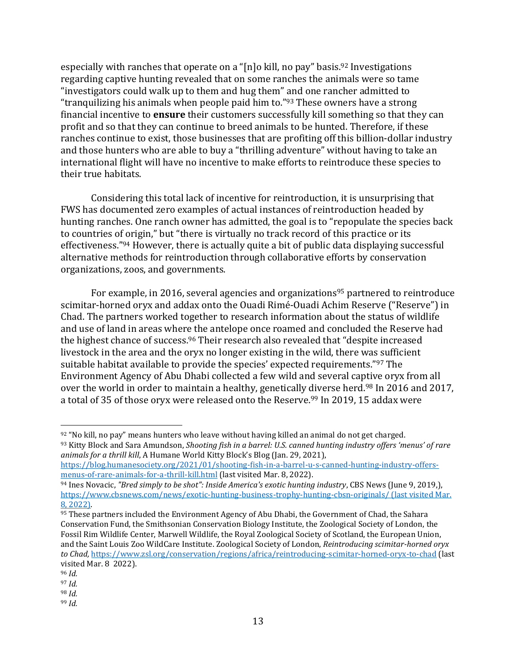especially with ranches that operate on a "[n]o kill, no pay" basis.<sup>92</sup> Investigations regarding captive hunting revealed that on some ranches the animals were so tame "investigators could walk up to them and hug them" and one rancher admitted to "tranquilizing his animals when people paid him to."<sup>93</sup> These owners have a strong financial incentive to **ensure** their customers successfully kill something so that they can profit and so that they can continue to breed animals to be hunted. Therefore, if these ranches continue to exist, those businesses that are profiting off this billion-dollar industry and those hunters who are able to buy a "thrilling adventure" without having to take an international flight will have no incentive to make efforts to reintroduce these species to their true habitats.

Considering this total lack of incentive for reintroduction, it is unsurprising that FWS has documented zero examples of actual instances of reintroduction headed by hunting ranches. One ranch owner has admitted, the goal is to "repopulate the species back to countries of origin," but "there is virtually no track record of this practice or its effectiveness."<sup>94</sup> However, there is actually quite a bit of public data displaying successful alternative methods for reintroduction through collaborative efforts by conservation organizations, zoos, and governments.

For example, in 2016, several agencies and organizations<sup>95</sup> partnered to reintroduce scimitar-horned oryx and addax onto the Ouadi Rimé-Ouadi Achim Reserve ("Reserve") in Chad. The partners worked together to research information about the status of wildlife and use of land in areas where the antelope once roamed and concluded the Reserve had the highest chance of success.<sup>96</sup> Their research also revealed that "despite increased livestock in the area and the oryx no longer existing in the wild, there was sufficient suitable habitat available to provide the species' expected requirements."<sup>97</sup> The Environment Agency of Abu Dhabi collected a few wild and several captive oryx from all over the world in order to maintain a healthy, genetically diverse herd.<sup>98</sup> In 2016 and 2017, a total of 35 of those oryx were released onto the Reserve.<sup>99</sup> In 2019, 15 addax were

 $92$  "No kill, no pay" means hunters who leave without having killed an animal do not get charged. 93 Kitty Block and Sara Amundson, *Shooting fish in a barrel: U.S. canned hunting industry offers 'menus' of rare animals for a thrill kill*, A Humane World Kitty Block's Blog (Jan. 29, 2021),

[https://blog.humanesociety.org/2021/01/shooting-fish-in-a-barrel-u-s-canned-hunting-industry-offers](https://blog.humanesociety.org/2021/01/shooting-fish-in-a-barrel-u-s-canned-hunting-industry-offers-menus-of-rare-animals-for-a-thrill-kill.html)[menus-of-rare-animals-for-a-thrill-kill.html](https://blog.humanesociety.org/2021/01/shooting-fish-in-a-barrel-u-s-canned-hunting-industry-offers-menus-of-rare-animals-for-a-thrill-kill.html) (last visited Mar. 8, 2022).

<sup>94</sup> Ines Novacic, *"Bred simply to be shot": Inside America's exotic hunting industry*, CBS News (June 9, 2019,), <https://www.cbsnews.com/news/exotic-hunting-business-trophy-hunting-cbsn-originals/> (last visited Mar. 8, 2022).

<sup>95</sup> These partners included the Environment Agency of Abu Dhabi, the Government of Chad, the Sahara Conservation Fund, the Smithsonian Conservation Biology Institute, the Zoological Society of London, the Fossil Rim Wildlife Center, Marwell Wildlife, the Royal Zoological Society of Scotland, the European Union, and the Saint Louis Zoo WildCare Institute. Zoological Society of London, *Reintroducing scimitar-horned oryx to Chad,* <https://www.zsl.org/conservation/regions/africa/reintroducing-scimitar-horned-oryx-to-chad> (last visited Mar. 8 2022).

<sup>96</sup> *Id.* 

<sup>97</sup> *Id.*

<sup>98</sup> *Id.*

<sup>99</sup> *Id.*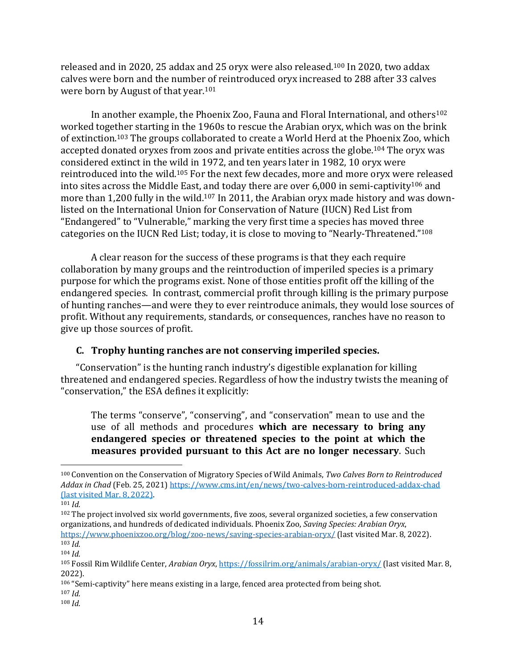released and in 2020, 25 addax and 25 oryx were also released. <sup>100</sup> In 2020, two addax calves were born and the number of reintroduced oryx increased to 288 after 33 calves were born by August of that year.<sup>101</sup>

In another example, the Phoenix Zoo, Fauna and Floral International, and others<sup>102</sup> worked together starting in the 1960s to rescue the Arabian oryx, which was on the brink of extinction.<sup>103</sup> The groups collaborated to create a World Herd at the Phoenix Zoo, which accepted donated oryxes from zoos and private entities across the globe.<sup>104</sup> The oryx was considered extinct in the wild in 1972, and ten years later in 1982, 10 oryx were reintroduced into the wild. <sup>105</sup> For the next few decades, more and more oryx were released into sites across the Middle East, and today there are over  $6,000$  in semi-captivity<sup>106</sup> and more than 1,200 fully in the wild.<sup>107</sup> In 2011, the Arabian oryx made history and was downlisted on the International Union for Conservation of Nature (IUCN) Red List from "Endangered" to "Vulnerable," marking the very first time a species has moved three categories on the IUCN Red List; today, it is close to moving to "Nearly-Threatened."<sup>108</sup>

A clear reason for the success of these programs is that they each require collaboration by many groups and the reintroduction of imperiled species is a primary purpose for which the programs exist. None of those entities profit off the killing of the endangered species. In contrast, commercial profit through killing is the primary purpose of hunting ranches—and were they to ever reintroduce animals, they would lose sources of profit. Without any requirements, standards, or consequences, ranches have no reason to give up those sources of profit.

#### <span id="page-20-0"></span>**C. Trophy hunting ranches are not conserving imperiled species.**

"Conservation" is the hunting ranch industry's digestible explanation for killing threatened and endangered species. Regardless of how the industry twists the meaning of "conservation," the ESA defines it explicitly:

The terms "conserve", "conserving", and "conservation" mean to use and the use of all methods and procedures **which are necessary to bring any endangered species or threatened species to the point at which the measures provided pursuant to this Act are no longer necessary**. Such

<sup>100</sup> Convention on the Conservation of Migratory Species of Wild Animals, *Two Calves Born to Reintroduced Addax in Chad* (Feb. 25, 2021[\) https://www.cms.int/en/news/two-calves-born-reintroduced-addax-chad](https://www.cms.int/en/news/two-calves-born-reintroduced-addax-chad) (last visited Mar. 8, 2022).

 $101$  *Id.* 

<sup>&</sup>lt;sup>102</sup> The project involved six world governments, five zoos, several organized societies, a few conservation organizations, and hundreds of dedicated individuals. Phoenix Zoo, *Saving Species: Arabian Oryx*, <https://www.phoenixzoo.org/blog/zoo-news/saving-species-arabian-oryx/> (last visited Mar. 8, 2022).  $103$  *Id.* 

<sup>104</sup> *Id.*

<sup>105</sup> Fossil Rim Wildlife Center, *Arabian Oryx*[, https://fossilrim.org/animals/arabian-oryx/](https://fossilrim.org/animals/arabian-oryx/) (last visited Mar. 8, 2022).

<sup>106</sup> "Semi-captivity" here means existing in a large, fenced area protected from being shot.

<sup>107</sup> *Id.*

<sup>108</sup> *Id.*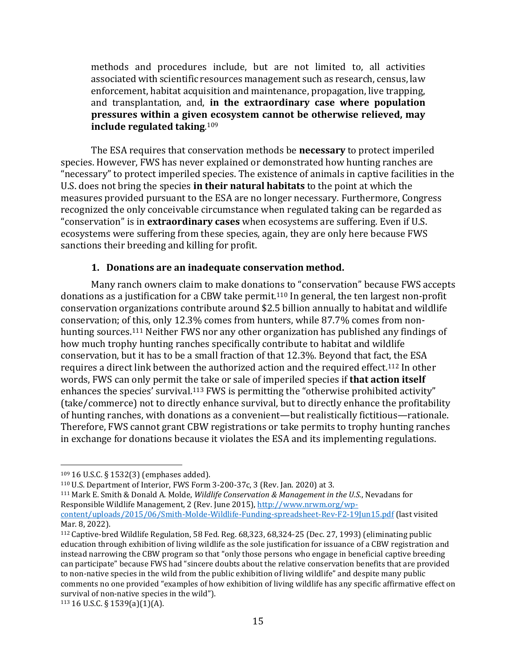methods and procedures include, but are not limited to, all activities associated with scientific resources management such as research, census, law enforcement, habitat acquisition and maintenance, propagation, live trapping, and transplantation, and, **in the extraordinary case where population pressures within a given ecosystem cannot be otherwise relieved, may include regulated taking**. 109

The ESA requires that conservation methods be **necessary** to protect imperiled species. However, FWS has never explained or demonstrated how hunting ranches are "necessary" to protect imperiled species. The existence of animals in captive facilities in the U.S. does not bring the species **in their natural habitats** to the point at which the measures provided pursuant to the ESA are no longer necessary*.* Furthermore, Congress recognized the only conceivable circumstance when regulated taking can be regarded as "conservation" is in **extraordinary cases** when ecosystems are suffering. Even if U.S. ecosystems were suffering from these species, again, they are only here because FWS sanctions their breeding and killing for profit.

#### **1. Donations are an inadequate conservation method.**

<span id="page-21-0"></span>Many ranch owners claim to make donations to "conservation" because FWS accepts donations as a justification for a CBW take permit.<sup>110</sup> In general, the ten largest non-profit conservation organizations contribute around \$2.5 billion annually to habitat and wildlife conservation; of this, only 12.3% comes from hunters, while 87.7% comes from nonhunting sources.<sup>111</sup> Neither FWS nor any other organization has published any findings of how much trophy hunting ranches specifically contribute to habitat and wildlife conservation, but it has to be a small fraction of that 12.3%. Beyond that fact, the ESA requires a direct link between the authorized action and the required effect.<sup>112</sup> In other words, FWS can only permit the take or sale of imperiled species if **that action itself** enhances the species' survival.<sup>113</sup> FWS is permitting the "otherwise prohibited activity" (take/commerce) not to directly enhance survival, but to directly enhance the profitability of hunting ranches, with donations as a convenient—but realistically fictitious—rationale. Therefore, FWS cannot grant CBW registrations or take permits to trophy hunting ranches in exchange for donations because it violates the ESA and its implementing regulations.

<sup>109</sup> 16 U.S.C. § 1532(3) (emphases added).

<sup>110</sup> U.S. Department of Interior, FWS Form 3-200-37c, 3 (Rev. Jan. 2020) at 3.

<sup>111</sup> Mark E. Smith & Donald A. Molde, *Wildlife Conservation & Management in the U.S.*, Nevadans for Responsible Wildlife Management, 2 (Rev. June 2015), [http://www.nrwm.org/wp](http://www.nrwm.org/wp-content/uploads/2015/06/Smith-Molde-Wildlife-Funding-spreadsheet-Rev-F2-19Jun15.pdf)[content/uploads/2015/06/Smith-Molde-Wildlife-Funding-spreadsheet-Rev-F2-19Jun15.pdf](http://www.nrwm.org/wp-content/uploads/2015/06/Smith-Molde-Wildlife-Funding-spreadsheet-Rev-F2-19Jun15.pdf) (last visited

Mar. 8, 2022).

<sup>112</sup> Captive-bred Wildlife Regulation, 58 Fed. Reg. 68,323, 68,324-25 (Dec. 27, 1993) (eliminating public education through exhibition of living wildlife as the sole justification for issuance of a CBW registration and instead narrowing the CBW program so that "only those persons who engage in beneficial captive breeding can participate" because FWS had "sincere doubts about the relative conservation benefits that are provided to non-native species in the wild from the public exhibition of living wildlife" and despite many public comments no one provided "examples of how exhibition of living wildlife has any specific affirmative effect on survival of non-native species in the wild").

 $113$  16 U.S.C. § 1539(a)(1)(A).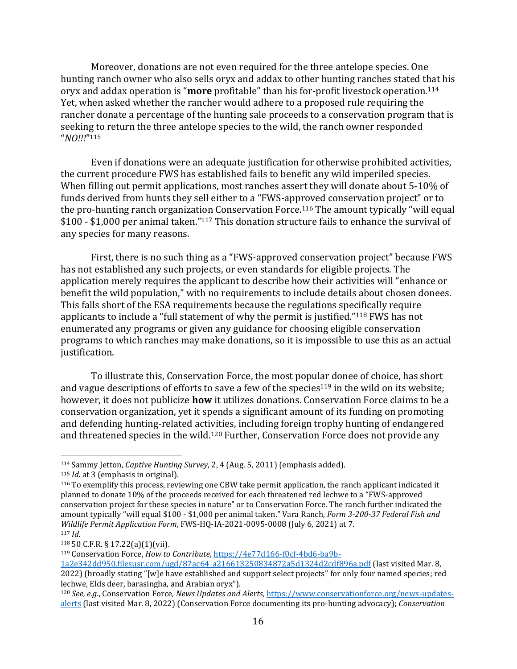Moreover, donations are not even required for the three antelope species. One hunting ranch owner who also sells oryx and addax to other hunting ranches stated that his oryx and addax operation is "**more** profitable" than his for-profit livestock operation.<sup>114</sup> Yet, when asked whether the rancher would adhere to a proposed rule requiring the rancher donate a percentage of the hunting sale proceeds to a conservation program that is seeking to return the three antelope species to the wild, the ranch owner responded "*NO!!!*" 115

Even if donations were an adequate justification for otherwise prohibited activities, the current procedure FWS has established fails to benefit any wild imperiled species. When filling out permit applications, most ranches assert they will donate about 5-10% of funds derived from hunts they sell either to a "FWS-approved conservation project" or to the pro-hunting ranch organization Conservation Force. <sup>116</sup> The amount typically "will equal \$100 - \$1,000 per animal taken."<sup>117</sup> This donation structure fails to enhance the survival of any species for many reasons.

First, there is no such thing as a "FWS-approved conservation project" because FWS has not established any such projects, or even standards for eligible projects. The application merely requires the applicant to describe how their activities will "enhance or benefit the wild population," with no requirements to include details about chosen donees. This falls short of the ESA requirements because the regulations specifically require applicants to include a "full statement of why the permit is justified."<sup>118</sup> FWS has not enumerated any programs or given any guidance for choosing eligible conservation programs to which ranches may make donations, so it is impossible to use this as an actual justification.

To illustrate this, Conservation Force, the most popular donee of choice, has short and vague descriptions of efforts to save a few of the species<sup>119</sup> in the wild on its website; however, it does not publicize **how** it utilizes donations. Conservation Force claims to be a conservation organization, yet it spends a significant amount of its funding on promoting and defending hunting-related activities, including foreign trophy hunting of endangered and threatened species in the wild.<sup>120</sup> Further, Conservation Force does not provide any

<sup>114</sup> Sammy Jetton, *Captive Hunting Survey*, 2, 4 (Aug. 5, 2011) (emphasis added).

<sup>115</sup> *Id.* at 3 (emphasis in original).

<sup>116</sup> To exemplify this process, reviewing one CBW take permit application, the ranch applicant indicated it planned to donate 10% of the proceeds received for each threatened red lechwe to a "FWS-approved conservation project for these species in nature" or to Conservation Force. The ranch further indicated the amount typically "will equal \$100 - \$1,000 per animal taken." Vara Ranch, *Form 3-200-37 Federal Fish and Wildlife Permit Application Form*, FWS-HQ-IA-2021-0095-0008 (July 6, 2021) at 7. <sup>117</sup> *Id.*

<sup>118</sup> 50 C.F.R. § 17.22(a)(1)(vii).

<sup>119</sup> Conservation Force, *How to Contribute*, [https://4e77d166-f0cf-4bd6-ba9b-](https://4e77d166-f0cf-4bd6-ba9b-1a2e342dd950.filesusr.com/ugd/87ac64_a216613250834872a5d1324d2cdf896a.pdf)

[<sup>1</sup>a2e342dd950.filesusr.com/ugd/87ac64\\_a216613250834872a5d1324d2cdf896a.pdf](https://4e77d166-f0cf-4bd6-ba9b-1a2e342dd950.filesusr.com/ugd/87ac64_a216613250834872a5d1324d2cdf896a.pdf) (last visited Mar. 8, 2022) (broadly stating "[w]e have established and support select projects" for only four named species; red lechwe, Elds deer, barasingha, and Arabian oryx").

<sup>120</sup> *See, e.g.*, Conservation Force, *News Updates and Alerts*, [https://www.conservationforce.org/news-updates](https://www.conservationforce.org/news-updates-alerts)[alerts](https://www.conservationforce.org/news-updates-alerts) (last visited Mar. 8, 2022) (Conservation Force documenting its pro-hunting advocacy); *Conservation*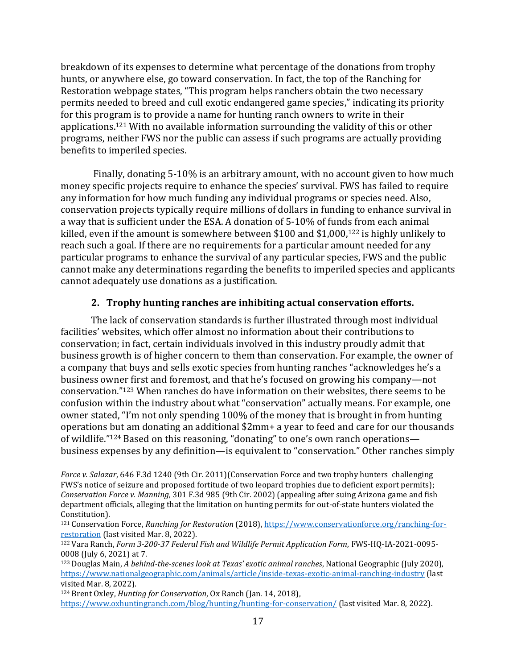breakdown of its expenses to determine what percentage of the donations from trophy hunts, or anywhere else, go toward conservation. In fact, the top of the Ranching for Restoration webpage states, "This program helps ranchers obtain the two necessary permits needed to breed and cull exotic endangered game species," indicating its priority for this program is to provide a name for hunting ranch owners to write in their applications. <sup>121</sup> With no available information surrounding the validity of this or other programs, neither FWS nor the public can assess if such programs are actually providing benefits to imperiled species.

Finally, donating 5-10% is an arbitrary amount, with no account given to how much money specific projects require to enhance the species' survival. FWS has failed to require any information for how much funding any individual programs or species need. Also, conservation projects typically require millions of dollars in funding to enhance survival in a way that is sufficient under the ESA. A donation of 5-10% of funds from each animal killed, even if the amount is somewhere between \$100 and \$1,000,<sup>122</sup> is highly unlikely to reach such a goal. If there are no requirements for a particular amount needed for any particular programs to enhance the survival of any particular species, FWS and the public cannot make any determinations regarding the benefits to imperiled species and applicants cannot adequately use donations as a justification.

# **2. Trophy hunting ranches are inhibiting actual conservation efforts.**

<span id="page-23-0"></span>The lack of conservation standards is further illustrated through most individual facilities' websites, which offer almost no information about their contributions to conservation; in fact, certain individuals involved in this industry proudly admit that business growth is of higher concern to them than conservation. For example, the owner of a company that buys and sells exotic species from hunting ranches "acknowledges he's a business owner first and foremost, and that he's focused on growing his company—not conservation."<sup>123</sup> When ranches do have information on their websites, there seems to be confusion within the industry about what "conservation" actually means. For example, one owner stated, "I'm not only spending 100% of the money that is brought in from hunting operations but am donating an additional \$2mm+ a year to feed and care for our thousands of wildlife."<sup>124</sup> Based on this reasoning, "donating" to one's own ranch operations business expenses by any definition—is equivalent to "conservation." Other ranches simply

*Force v. Salazar*, 646 F.3d 1240 (9th Cir. 2011)(Conservation Force and two trophy hunters challenging FWS's notice of seizure and proposed fortitude of two leopard trophies due to deficient export permits); *Conservation Force v. Manning*, 301 F.3d 985 (9th Cir. 2002) (appealing after suing Arizona game and fish department officials, alleging that the limitation on hunting permits for out-of-state hunters violated the Constitution).

<sup>121</sup> Conservation Force, *Ranching for Restoration* (2018), [https://www.conservationforce.org/ranching-for](https://www.conservationforce.org/ranching-for-restoration)[restoration](https://www.conservationforce.org/ranching-for-restoration) (last visited Mar. 8, 2022).

<sup>122</sup> Vara Ranch, *Form 3-200-37 Federal Fish and Wildlife Permit Application Form*, FWS-HQ-IA-2021-0095- 0008 (July 6, 2021) at 7.

<sup>123</sup> Douglas Main, *A behind-the-scenes look at Texas' exotic animal ranches*, National Geographic (July 2020), <https://www.nationalgeographic.com/animals/article/inside-texas-exotic-animal-ranching-industry> (last visited Mar. 8, 2022).

<sup>124</sup> Brent Oxley, *Hunting for Conservation*, Ox Ranch (Jan. 14, 2018),

<https://www.oxhuntingranch.com/blog/hunting/hunting-for-conservation/> (last visited Mar. 8, 2022).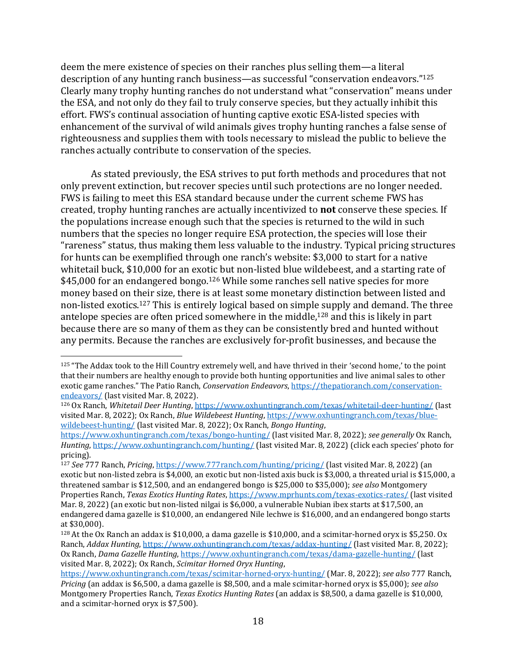deem the mere existence of species on their ranches plus selling them—a literal description of any hunting ranch business—as successful "conservation endeavors."<sup>125</sup> Clearly many trophy hunting ranches do not understand what "conservation" means under the ESA, and not only do they fail to truly conserve species, but they actually inhibit this effort. FWS's continual association of hunting captive exotic ESA-listed species with enhancement of the survival of wild animals gives trophy hunting ranches a false sense of righteousness and supplies them with tools necessary to mislead the public to believe the ranches actually contribute to conservation of the species.

As stated previously, the ESA strives to put forth methods and procedures that not only prevent extinction, but recover species until such protections are no longer needed. FWS is failing to meet this ESA standard because under the current scheme FWS has created, trophy hunting ranches are actually incentivized to **not** conserve these species. If the populations increase enough such that the species is returned to the wild in such numbers that the species no longer require ESA protection, the species will lose their "rareness" status, thus making them less valuable to the industry. Typical pricing structures for hunts can be exemplified through one ranch's website: \$3,000 to start for a native whitetail buck, \$10,000 for an exotic but non-listed blue wildebeest, and a starting rate of \$45,000 for an endangered bongo.<sup>126</sup> While some ranches sell native species for more money based on their size, there is at least some monetary distinction between listed and non-listed exotics.<sup>127</sup> This is entirely logical based on simple supply and demand. The three antelope species are often priced somewhere in the middle,<sup>128</sup> and this is likely in part because there are so many of them as they can be consistently bred and hunted without any permits. Because the ranches are exclusively for-profit businesses, and because the

<sup>125</sup> "The Addax took to the Hill Country extremely well, and have thrived in their 'second home,' to the point that their numbers are healthy enough to provide both hunting opportunities and live animal sales to other exotic game ranches." The Patio Ranch, *Conservation Endeavors*[, https://thepatioranch.com/conservation](https://thepatioranch.com/conservation-endeavors/)[endeavors/](https://thepatioranch.com/conservation-endeavors/) (last visited Mar. 8, 2022).

<sup>126</sup> Ox Ranch, *Whitetail Deer Hunting*,<https://www.oxhuntingranch.com/texas/whitetail-deer-hunting/> (last visited Mar. 8, 2022); Ox Ranch, *Blue Wildebeest Hunting*[, https://www.oxhuntingranch.com/texas/blue](https://www.oxhuntingranch.com/texas/blue-wildebeest-hunting/)[wildebeest-hunting/](https://www.oxhuntingranch.com/texas/blue-wildebeest-hunting/) (last visited Mar. 8, 2022); Ox Ranch, *Bongo Hunting*,

<https://www.oxhuntingranch.com/texas/bongo-hunting/> (last visited Mar. 8, 2022); *see generally* Ox Ranch, *Hunting*, <https://www.oxhuntingranch.com/hunting/> (last visited Mar. 8, 2022) (click each species' photo for pricing).

<sup>127</sup> *See* 777 Ranch, *Pricing*,<https://www.777ranch.com/hunting/pricing/> (last visited Mar. 8, 2022) (an exotic but non-listed zebra is \$4,000, an exotic but non-listed axis buck is \$3,000, a threated urial is \$15,000, a threatened sambar is \$12,500, and an endangered bongo is \$25,000 to \$35,000); *see also* Montgomery Properties Ranch, *Texas Exotics Hunting Rates*[, https://www.mprhunts.com/texas-exotics-rates/](https://www.mprhunts.com/texas-exotics-rates/) (last visited Mar. 8, 2022) (an exotic but non-listed nilgai is \$6,000, a vulnerable Nubian ibex starts at \$17,500, an endangered dama gazelle is \$10,000, an endangered Nile lechwe is \$16,000, and an endangered bongo starts at \$30,000).

<sup>&</sup>lt;sup>128</sup> At the Ox Ranch an addax is \$10,000, a dama gazelle is \$10,000, and a scimitar-horned oryx is \$5,250. Ox Ranch, *Addax Hunting*[, https://www.oxhuntingranch.com/texas/addax-hunting/](https://www.oxhuntingranch.com/texas/addax-hunting/) (last visited Mar. 8, 2022); Ox Ranch, *Dama Gazelle Hunting*[, https://www.oxhuntingranch.com/texas/dama-gazelle-hunting/](https://www.oxhuntingranch.com/texas/dama-gazelle-hunting/) (last visited Mar. 8, 2022); Ox Ranch, *Scimitar Horned Oryx Hunting*,

<https://www.oxhuntingranch.com/texas/scimitar-horned-oryx-hunting/> (Mar. 8, 2022); *see also* 777 Ranch, *Pricing* (an addax is \$6,500, a dama gazelle is \$8,500, and a male scimitar-horned oryx is \$5,000); *see also* Montgomery Properties Ranch, *Texas Exotics Hunting Rates* (an addax is \$8,500, a dama gazelle is \$10,000, and a scimitar-horned oryx is \$7,500).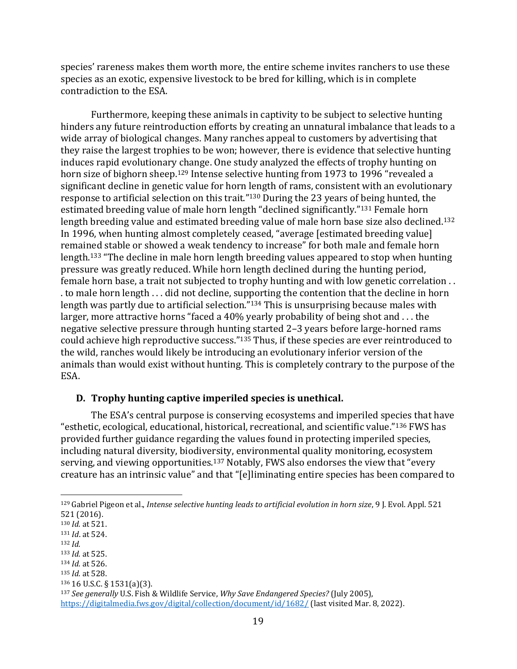species' rareness makes them worth more, the entire scheme invites ranchers to use these species as an exotic, expensive livestock to be bred for killing, which is in complete contradiction to the ESA.

Furthermore, keeping these animals in captivity to be subject to selective hunting hinders any future reintroduction efforts by creating an unnatural imbalance that leads to a wide array of biological changes. Many ranches appeal to customers by advertising that they raise the largest trophies to be won; however, there is evidence that selective hunting induces rapid evolutionary change. One study analyzed the effects of trophy hunting on horn size of bighorn sheep.<sup>129</sup> Intense selective hunting from 1973 to 1996 "revealed a significant decline in genetic value for horn length of rams, consistent with an evolutionary response to artificial selection on this trait."<sup>130</sup> During the 23 years of being hunted, the estimated breeding value of male horn length "declined significantly."<sup>131</sup> Female horn length breeding value and estimated breeding value of male horn base size also declined.<sup>132</sup> In 1996, when hunting almost completely ceased, "average [estimated breeding value] remained stable or showed a weak tendency to increase" for both male and female horn length.<sup>133</sup> "The decline in male horn length breeding values appeared to stop when hunting pressure was greatly reduced. While horn length declined during the hunting period, female horn base, a trait not subjected to trophy hunting and with low genetic correlation . . . to male horn length . . . did not decline, supporting the contention that the decline in horn length was partly due to artificial selection." <sup>134</sup> This is unsurprising because males with larger, more attractive horns "faced a 40% yearly probability of being shot and . . . the negative selective pressure through hunting started 2–3 years before large-horned rams could achieve high reproductive success."<sup>135</sup> Thus, if these species are ever reintroduced to the wild, ranches would likely be introducing an evolutionary inferior version of the animals than would exist without hunting. This is completely contrary to the purpose of the ESA.

#### <span id="page-25-0"></span>**D. Trophy hunting captive imperiled species is unethical.**

The ESA's central purpose is conserving ecosystems and imperiled species that have "esthetic, ecological, educational, historical, recreational, and scientific value."<sup>136</sup> FWS has provided further guidance regarding the values found in protecting imperiled species, including natural diversity, biodiversity, environmental quality monitoring, ecosystem serving, and viewing opportunities.<sup>137</sup> Notably, FWS also endorses the view that "every creature has an intrinsic value" and that "[e]liminating entire species has been compared to

<sup>129</sup> Gabriel Pigeon et al., *Intense selective hunting leads to artificial evolution in horn size*, 9 J. Evol. Appl. 521 521 (2016).

<sup>130</sup> *Id.* at 521.

<sup>131</sup> *Id*. at 524.

<sup>132</sup> *Id.*

<sup>133</sup> *Id.* at 525.

<sup>134</sup> *Id.* at 526.

<sup>135</sup> *Id.* at 528.

<sup>136</sup> 16 U.S.C. § 1531(a)(3).

<sup>137</sup> *See generally* U.S. Fish & Wildlife Service, *Why Save Endangered Species?* (July 2005),

<https://digitalmedia.fws.gov/digital/collection/document/id/1682/> (last visited Mar. 8, 2022).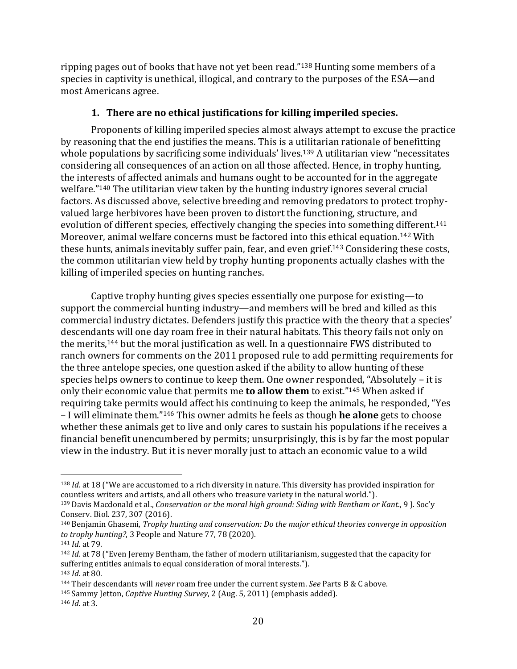ripping pages out of books that have not yet been read."<sup>138</sup> Hunting some members of a species in captivity is unethical, illogical, and contrary to the purposes of the ESA—and most Americans agree.

## **1. There are no ethical justifications for killing imperiled species.**

<span id="page-26-0"></span>Proponents of killing imperiled species almost always attempt to excuse the practice by reasoning that the end justifies the means. This is a utilitarian rationale of benefitting whole populations by sacrificing some individuals' lives.<sup>139</sup> A utilitarian view "necessitates considering all consequences of an action on all those affected. Hence, in trophy hunting, the interests of affected animals and humans ought to be accounted for in the aggregate welfare."<sup>140</sup> The utilitarian view taken by the hunting industry ignores several crucial factors. As discussed above, selective breeding and removing predators to protect trophyvalued large herbivores have been proven to distort the functioning, structure, and evolution of different species, effectively changing the species into something different.<sup>141</sup> Moreover, animal welfare concerns must be factored into this ethical equation.<sup>142</sup> With these hunts, animals inevitably suffer pain, fear, and even grief.<sup>143</sup> Considering these costs, the common utilitarian view held by trophy hunting proponents actually clashes with the killing of imperiled species on hunting ranches.

Captive trophy hunting gives species essentially one purpose for existing—to support the commercial hunting industry—and members will be bred and killed as this commercial industry dictates. Defenders justify this practice with the theory that a species' descendants will one day roam free in their natural habitats. This theory fails not only on the merits,<sup>144</sup> but the moral justification as well. In a questionnaire FWS distributed to ranch owners for comments on the 2011 proposed rule to add permitting requirements for the three antelope species, one question asked if the ability to allow hunting of these species helps owners to continue to keep them. One owner responded, "Absolutely – it is only their economic value that permits me **to allow them** to exist."<sup>145</sup> When asked if requiring take permits would affect his continuing to keep the animals, he responded, "Yes – I will eliminate them."<sup>146</sup> This owner admits he feels as though **he alone** gets to choose whether these animals get to live and only cares to sustain his populations if he receives a financial benefit unencumbered by permits; unsurprisingly, this is by far the most popular view in the industry. But it is never morally just to attach an economic value to a wild

<sup>138</sup> *Id.* at 18 ("We are accustomed to a rich diversity in nature. This diversity has provided inspiration for countless writers and artists, and all others who treasure variety in the natural world.").

<sup>139</sup> Davis Macdonald et al., *Conservation or the moral high ground: Siding with Bentham or Kant.*, 9 J. Soc'y Conserv. Biol. 237, 307 (2016).

<sup>140</sup> Benjamin Ghasemi, *Trophy hunting and conservation: Do the major ethical theories converge in opposition to trophy hunting?*, 3 People and Nature 77, 78 (2020).

<sup>141</sup> *Id.* at 79.

<sup>142</sup> *Id.* at 78 ("Even Jeremy Bentham, the father of modern utilitarianism, suggested that the capacity for suffering entitles animals to equal consideration of moral interests."). <sup>143</sup> *Id.* at 80.

<sup>144</sup> Their descendants will *never* roam free under the current system. *See* Parts B & C above.

<sup>145</sup> Sammy Jetton, *Captive Hunting Survey*, 2 (Aug. 5, 2011) (emphasis added).

<sup>146</sup> *Id.* at 3.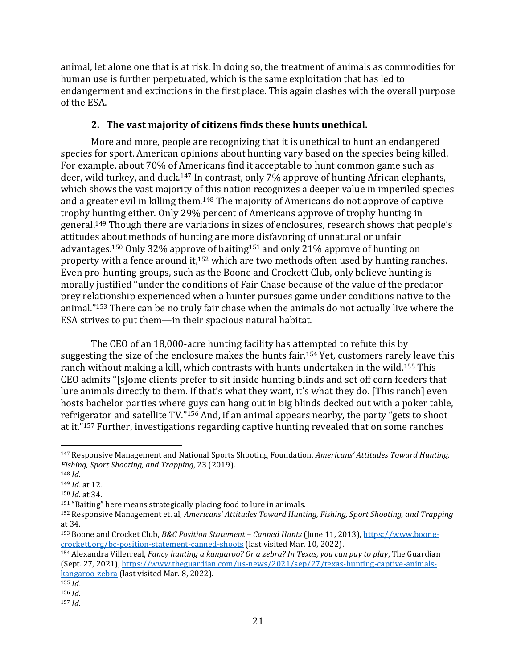animal, let alone one that is at risk. In doing so, the treatment of animals as commodities for human use is further perpetuated, which is the same exploitation that has led to endangerment and extinctions in the first place. This again clashes with the overall purpose of the ESA.

# **2. The vast majority of citizens finds these hunts unethical.**

<span id="page-27-0"></span>More and more, people are recognizing that it is unethical to hunt an endangered species for sport. American opinions about hunting vary based on the species being killed. For example, about 70% of Americans find it acceptable to hunt common game such as deer, wild turkey, and duck.<sup>147</sup> In contrast, only 7% approve of hunting African elephants, which shows the vast majority of this nation recognizes a deeper value in imperiled species and a greater evil in killing them.<sup>148</sup> The majority of Americans do not approve of captive trophy hunting either. Only 29% percent of Americans approve of trophy hunting in general. <sup>149</sup> Though there are variations in sizes of enclosures, research shows that people's attitudes about methods of hunting are more disfavoring of unnatural or unfair advantages.<sup>150</sup> Only 32% approve of baiting<sup>151</sup> and only 21% approve of hunting on property with a fence around it,<sup>152</sup> which are two methods often used by hunting ranches. Even pro-hunting groups, such as the Boone and Crockett Club, only believe hunting is morally justified "under the conditions of Fair Chase because of the value of the predatorprey relationship experienced when a hunter pursues game under conditions native to the animal."<sup>153</sup> There can be no truly fair chase when the animals do not actually live where the ESA strives to put them—in their spacious natural habitat.

The CEO of an 18,000-acre hunting facility has attempted to refute this by suggesting the size of the enclosure makes the hunts fair. <sup>154</sup> Yet, customers rarely leave this ranch without making a kill, which contrasts with hunts undertaken in the wild.<sup>155</sup> This CEO admits "[s]ome clients prefer to sit inside hunting blinds and set off corn feeders that lure animals directly to them. If that's what they want, it's what they do. [This ranch] even hosts bachelor parties where guys can hang out in big blinds decked out with a poker table, refrigerator and satellite TV."<sup>156</sup> And, if an animal appears nearby, the party "gets to shoot at it."<sup>157</sup> Further, investigations regarding captive hunting revealed that on some ranches

<sup>147</sup> Responsive Management and National Sports Shooting Foundation, *Americans' Attitudes Toward Hunting, Fishing, Sport Shooting, and Trapping*, 23 (2019).

<sup>148</sup> *Id.*

<sup>149</sup> *Id.* at 12.

<sup>150</sup> *Id.* at 34.

<sup>151</sup> "Baiting" here means strategically placing food to lure in animals.

<sup>152</sup> Responsive Management et. al, *Americans' Attitudes Toward Hunting, Fishing, Sport Shooting, and Trapping*  at 34.

<sup>153</sup> Boone and Crocket Club, *B&C Position Statement – Canned Hunts* (June 11, 2013), [https://www.boone](https://www.boone-crockett.org/bc-position-statement-canned-shoots)[crockett.org/bc-position-statement-canned-shoots](https://www.boone-crockett.org/bc-position-statement-canned-shoots) (last visited Mar. 10, 2022).

<sup>154</sup> Alexandra Villerreal, *Fancy hunting a kangaroo? Or a zebra? In Texas, you can pay to play*, The Guardian (Sept. 27, 2021)[, https://www.theguardian.com/us-news/2021/sep/27/texas-hunting-captive-animals](https://www.theguardian.com/us-news/2021/sep/27/texas-hunting-captive-animals-kangaroo-zebra)[kangaroo-zebra](https://www.theguardian.com/us-news/2021/sep/27/texas-hunting-captive-animals-kangaroo-zebra) (last visited Mar. 8, 2022).

<sup>155</sup> *Id.*

<sup>156</sup> *Id.*

<sup>157</sup> *Id.*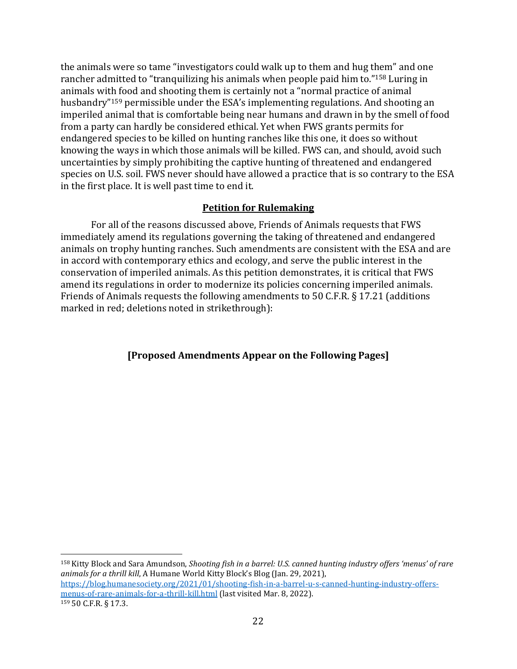the animals were so tame "investigators could walk up to them and hug them" and one rancher admitted to "tranquilizing his animals when people paid him to."<sup>158</sup> Luring in animals with food and shooting them is certainly not a "normal practice of animal husbandry"<sup>159</sup> permissible under the ESA's implementing regulations. And shooting an imperiled animal that is comfortable being near humans and drawn in by the smell of food from a party can hardly be considered ethical. Yet when FWS grants permits for endangered species to be killed on hunting ranches like this one, it does so without knowing the ways in which those animals will be killed. FWS can, and should, avoid such uncertainties by simply prohibiting the captive hunting of threatened and endangered species on U.S. soil. FWS never should have allowed a practice that is so contrary to the ESA in the first place. It is well past time to end it.

#### **Petition for Rulemaking**

<span id="page-28-0"></span>For all of the reasons discussed above, Friends of Animals requests that FWS immediately amend its regulations governing the taking of threatened and endangered animals on trophy hunting ranches. Such amendments are consistent with the ESA and are in accord with contemporary ethics and ecology, and serve the public interest in the conservation of imperiled animals. As this petition demonstrates, it is critical that FWS amend its regulations in order to modernize its policies concerning imperiled animals. Friends of Animals requests the following amendments to 50 C.F.R. § 17.21 (additions marked in red; deletions noted in strikethrough):

#### **[Proposed Amendments Appear on the Following Pages]**

<sup>158</sup> Kitty Block and Sara Amundson, *Shooting fish in a barrel: U.S. canned hunting industry offers 'menus' of rare animals for a thrill kill*, A Humane World Kitty Block's Blog (Jan. 29, 2021), [https://blog.humanesociety.org/2021/01/shooting-fish-in-a-barrel-u-s-canned-hunting-industry-offers](https://blog.humanesociety.org/2021/01/shooting-fish-in-a-barrel-u-s-canned-hunting-industry-offers-menus-of-rare-animals-for-a-thrill-kill.html)[menus-of-rare-animals-for-a-thrill-kill.html](https://blog.humanesociety.org/2021/01/shooting-fish-in-a-barrel-u-s-canned-hunting-industry-offers-menus-of-rare-animals-for-a-thrill-kill.html) (last visited Mar. 8, 2022). <sup>159</sup> 50 C.F.R. § 17.3.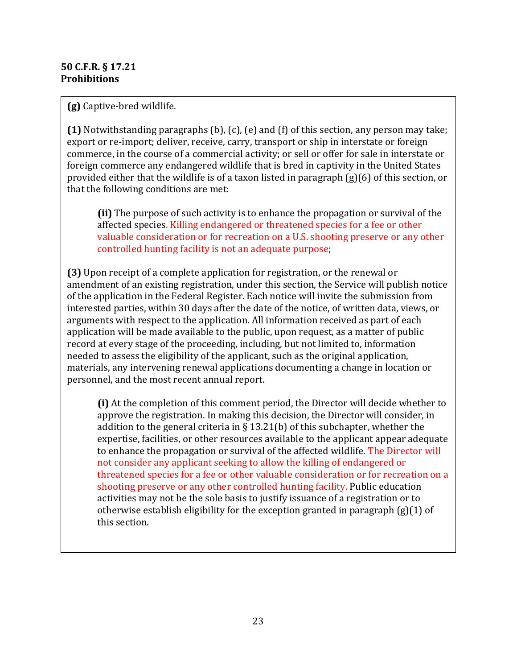#### **50 C.F.R. § 17.21 Prohibitions**

**(g)** Captive-bred wildlife.

**(1)** Notwithstanding paragraphs (b), (c), (e) and (f) of this section, any person may take; export or re-import; deliver, receive, carry, transport or ship in interstate or foreign commerce, in the course of a commercial activity; or sell or offer for sale in interstate or foreign commerce any endangered wildlife that is bred in captivity in the United States provided either that the wildlife is of a taxon listed in paragraph (g)(6) of this section, or that the following conditions are met:

**(ii)** The purpose of such activity is to enhance the propagation or survival of the affected species. Killing endangered or threatened species for a fee or other valuable consideration or for recreation on a U.S. shooting preserve or any other controlled hunting facility is not an adequate purpose;

**(3)** Upon receipt of a complete application for registration, or the renewal or amendment of an existing registration, under this section, the Service will publish notice of the application in the Federal Register. Each notice will invite the submission from interested parties, within 30 days after the date of the notice, of written data, views, or arguments with respect to the application. All information received as part of each application will be made available to the public, upon request, as a matter of public record at every stage of the proceeding, including, but not limited to, information needed to assess the eligibility of the applicant, such as the original application, materials, any intervening renewal applications documenting a change in location or personnel, and the most recent annual report.

**(i)** At the completion of this comment period, the Director will decide whether to approve the registration. In making this decision, the Director will consider, in addition to the general criteria in  $\S 13.21(b)$  of this subchapter, whether the expertise, facilities, or other resources available to the applicant appear adequate to enhance the propagation or survival of the affected wildlife. The Director will not consider any applicant seeking to allow the killing of endangered or threatened species for a fee or other valuable consideration or for recreation on a shooting preserve or any other controlled hunting facility. Public education activities may not be the sole basis to justify issuance of a registration or to otherwise establish eligibility for the exception granted in paragraph (g)(1) of this section.